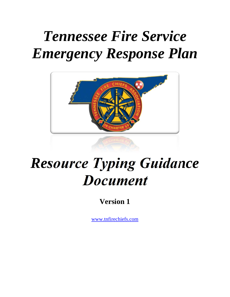# *Tennessee Fire Service Emergency Response Plan*



# *Resource Typing Guidance Document*

**Version 1** 

www.tnfirechiefs.com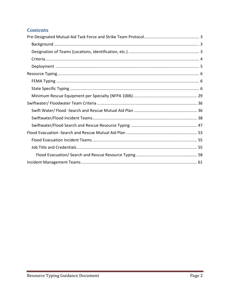# **Contents**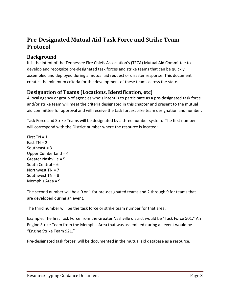# **Pre‐Designated Mutual Aid Task Force and Strike Team Protocol**

# **Background**

It is the intent of the Tennessee Fire Chiefs Association's (TFCA) Mutual Aid Committee to develop and recognize pre‐designated task forces and strike teams that can be quickly assembled and deployed during a mutual aid request or disaster response. This document creates the minimum criteria for the development of these teams across the state.

# **Designation of Teams (Locations, Identification, etc)**

A local agency or group of agencies who's intent is to participate as a pre‐designated task force and/or strike team will meet the criteria designated in this chapter and present to the mutual aid committee for approval and will receive the task force/strike team designation and number.

Task Force and Strike Teams will be designated by a three number system. The first number will correspond with the District number where the resource is located:

First  $TN = 1$ East  $TN = 2$ Southeast  $= 3$ Upper Cumberland = 4 Greater Nashville = 5 South Central =  $6$ Northwest  $TN = 7$ Southwest TN = 8 Memphis Area = 9

The second number will be a 0 or 1 for pre‐designated teams and 2 through 9 for teams that are developed during an event.

The third number will be the task force or strike team number for that area.

Example: The first Task Force from the Greater Nashville district would be "Task Force 501." An Engine Strike Team from the Memphis Area that was assembled during an event would be "Engine Strike Team 921."

Pre-designated task forces' will be documented in the mutual aid database as a resource.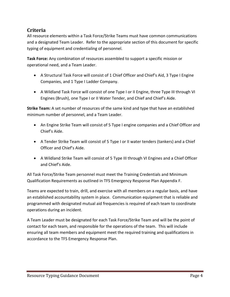# **Criteria**

All resource elements within a Task Force/Strike Teams must have common communications and a designated Team Leader. Refer to the appropriate section of this document for specific typing of equipment and credentialing of personnel.

**Task Force:** Any combination of resources assembled to support a specific mission or operational need, and a Team Leader.

- A Structural Task Force will consist of 1 Chief Officer and Chief's Aid, 3 Type I Engine Companies, and 1 Type I Ladder Company.
- A Wildland Task Force will consist of one Type I or II Engine, three Type III through VI Engines (Brush), one Type I or II Water Tender, and Chief and Chief's Aide.

**Strike Team:** A set number of resources of the same kind and type that have an established minimum number of personnel, and a Team Leader.

- An Engine Strike Team will consist of 5 Type I engine companies and a Chief Officer and Chief's Aide.
- A Tender Strike Team will consist of 5 Type I or II water tenders (tankers) and a Chief Officer and Chief's Aide.
- A Wildland Strike Team will consist of 5 Type III through VI Engines and a Chief Officer and Chief's Aide.

All Task Force/Strike Team personnel must meet the Training Credentials and Minimum Qualification Requirements as outlined in TFS Emergency Response Plan Appendix F.

Teams are expected to train, drill, and exercise with all members on a regular basis, and have an established accountability system in place. Communication equipment that is reliable and programmed with designated mutual aid frequencies is required of each team to coordinate operations during an incident.

A Team Leader must be designated for each Task Force/Strike Team and will be the point of contact for each team, and responsible for the operations of the team. This will include ensuring all team members and equipment meet the required training and qualifications in accordance to the TFS Emergency Response Plan.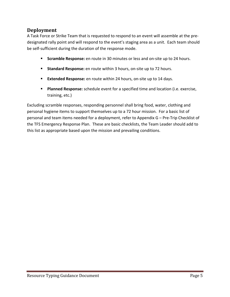# **Deployment**

A Task Force or Strike Team that is requested to respond to an event will assemble at the pre‐ designated rally point and will respond to the event's staging area as a unit. Each team should be self-sufficient during the duration of the response mode.

- **Scramble Response:** en route in 30 minutes or less and on-site up to 24 hours.
- **Standard Response:** en route within 3 hours, on-site up to 72 hours.
- **Extended Response:** en route within 24 hours, on-site up to 14 days.
- **Planned Response:** schedule event for a specified time and location (i.e. exercise, training, etc.)

Excluding scramble responses, responding personnel shall bring food, water, clothing and personal hygiene items to support themselves up to a 72 hour mission. For a basic list of personal and team items needed for a deployment, refer to Appendix G – Pre‐Trip Checklist of the TFS Emergency Response Plan. These are basic checklists, the Team Leader should add to this list as appropriate based upon the mission and prevailing conditions.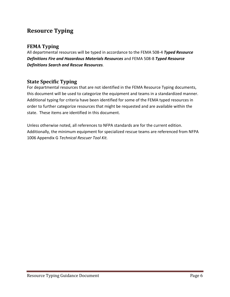# **Resource Typing**

# **FEMA Typing**

All departmental resources will be typed in accordance to the FEMA 508‐4 *Typed Resource Definitions Fire and Hazardous Materials Resources* and FEMA 508‐8 *Typed Resource Definitions Search and Rescue Resources.*

# **State Specific Typing**

For departmental resources that are not identified in the FEMA Resource Typing documents, this document will be used to categorize the equipment and teams in a standardized manner. Additional typing for criteria have been identified for some of the FEMA typed resources in order to further categorize resources that might be requested and are available within the state. These items are identified in this document.

Unless otherwise noted, all references to NFPA standards are for the current edition. Additionally, the minimum equipment for specialized rescue teams are referenced from NFPA 1006 Appendix G *Technical Rescuer Tool Kit.*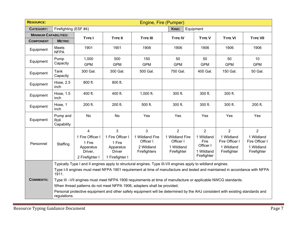| <b>RESOURCE:</b>             |                                                                                                                                               |                      |                            |                                                                                                                            | Engine, Fire (Pumper)     |                   |                           |                           |
|------------------------------|-----------------------------------------------------------------------------------------------------------------------------------------------|----------------------|----------------------------|----------------------------------------------------------------------------------------------------------------------------|---------------------------|-------------------|---------------------------|---------------------------|
| <b>CATEGORY:</b>             | Firefighting (ESF #4)                                                                                                                         |                      |                            |                                                                                                                            | KIND:                     | Equipment         |                           |                           |
| <b>MINIMUM CAPABILITIES:</b> |                                                                                                                                               | <b>TYPE I</b>        | <b>TYPE II</b>             | <b>TYPE III</b>                                                                                                            | <b>TYPE IV</b>            | <b>TYPE V</b>     | <b>TYPE VI</b>            | <b>TYPE VII</b>           |
| <b>COMPONENT</b>             | <b>METRIC</b>                                                                                                                                 |                      |                            |                                                                                                                            |                           |                   |                           |                           |
| Equipment                    | Meets<br><b>NFPA</b>                                                                                                                          | 1901                 | 1901                       | 1906                                                                                                                       | 1906                      | 1906              | 1906                      | 1906                      |
| Equipment                    | Pump                                                                                                                                          | 1,000                | 500                        | 150                                                                                                                        | 50                        | 50                | 50                        | 10                        |
|                              | Capacity                                                                                                                                      | <b>GPM</b>           | <b>GPM</b>                 | <b>GPM</b>                                                                                                                 | <b>GPM</b>                | <b>GPM</b>        | <b>GPM</b>                | <b>GPM</b>                |
| Equipment                    | Tank<br>Capacity                                                                                                                              | 300 Gal.             | 300 Gal.                   | 500 Gal.                                                                                                                   | 750 Gal.                  | 400 Gal.          | 150 Gal.                  | 50 Gal.                   |
| Equipment                    | Hose, 2.5<br>inch                                                                                                                             | 800 ft.              | 800 ft.                    |                                                                                                                            |                           |                   |                           |                           |
| Equipment                    | Hose, 1.5<br>inch                                                                                                                             | 400 ft.              | 400 ft.                    | 1,000 $ft.$                                                                                                                | 300 ft.                   | 300 ft.           | 300 ft.                   |                           |
| Equipment                    | Hose, 1<br>inch                                                                                                                               | 200 ft.              | 200 ft.                    | 500 ft.                                                                                                                    | 300 ft.                   | 300 ft.           | 300 ft.                   | 200 ft.                   |
| Equipment                    | Pump and<br>Roll<br>Capability                                                                                                                | No                   | No                         | Yes                                                                                                                        | Yes                       | Yes               | Yes                       | Yes                       |
|                              |                                                                                                                                               | $\overline{4}$       | 3                          | 3                                                                                                                          | $\overline{2}$            | $\overline{2}$    | $\overline{2}$            | 2                         |
|                              |                                                                                                                                               | 1 Fire Officer I     | 1 Fire Officer I           | 1 Wildland Fire                                                                                                            | 1 Wildland Fire           | 1 Wildland        | 1 Wildland                | 1 Wildland                |
| Personnel                    | Staffing                                                                                                                                      | 1 Fire               | 1 Fire                     | Officer I                                                                                                                  | Officer I                 | Fire<br>Officer I | Fire Officer I            | Fire Officer I            |
|                              |                                                                                                                                               | Apparatus<br>Driver, | Apparatus<br><b>Driver</b> | 2 Wildland<br>Firefighters                                                                                                 | 1 Wildland<br>Firefighter | 1 Wildland        | 1 Wildland<br>Firefighter | 1 Wildland<br>Firefighter |
|                              |                                                                                                                                               | 2 Firefighter I      | 1 Firefighter I            |                                                                                                                            |                           | Firefighter       |                           |                           |
|                              |                                                                                                                                               |                      |                            | Typically Type I and II engines apply to structural engines. Type III-VII engines apply to wildland engines.               |                           |                   |                           |                           |
|                              | 1911.                                                                                                                                         |                      |                            | Type I-II engines must meet NFPA 1901 requirement at time of manufacture and tested and maintained in accordance with NFPA |                           |                   |                           |                           |
| <b>COMMENTS:</b>             |                                                                                                                                               |                      |                            | Type III -VII engines must meet NFPA 1906 requirements at time of manufacture or applicable NWCG standards.                |                           |                   |                           |                           |
|                              |                                                                                                                                               |                      |                            | When thread patterns do not meet NFPA 1906, adapters shall be provided.                                                    |                           |                   |                           |                           |
|                              | Personal protective equipment and other safety equipment will be determined by the AHJ consistent with existing standards and<br>regulations. |                      |                            |                                                                                                                            |                           |                   |                           |                           |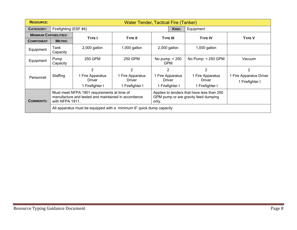| <b>RESOURCE:</b>             | Water Tender, Tactical Fire (Tanker) |                                                                                                                                                                                                                      |                                   |                                |                  |                                   |                                            |
|------------------------------|--------------------------------------|----------------------------------------------------------------------------------------------------------------------------------------------------------------------------------------------------------------------|-----------------------------------|--------------------------------|------------------|-----------------------------------|--------------------------------------------|
| <b>CATEGORY:</b>             | Firefighting (ESF #4)                |                                                                                                                                                                                                                      |                                   |                                | KIND:            | Equipment                         |                                            |
| <b>MINIMUM CAPABILITIES:</b> |                                      | <b>TYPE I</b><br><b>TYPE II</b>                                                                                                                                                                                      |                                   | <b>TYPE III</b>                |                  | <b>TYPE IV</b>                    | <b>TYPE V</b>                              |
| <b>COMPONENT</b>             | <b>METRIC</b>                        |                                                                                                                                                                                                                      |                                   |                                |                  |                                   |                                            |
| Equipment                    | Tank<br>Capacity                     | 2,000 gallon                                                                                                                                                                                                         | $1,000$ gallon                    | 2,000 gallon                   |                  | $1,000$ gallon                    |                                            |
| Equipment                    | Pump<br>Capacity                     | 250 GPM                                                                                                                                                                                                              | 250 GPM                           | No pump: $<$ 250<br><b>GPM</b> |                  | No Pump: < 250 GPM                | Vacuum                                     |
|                              |                                      | $\overline{2}$                                                                                                                                                                                                       | $\overline{2}$                    | $\overline{2}$                 |                  | $\overline{2}$                    | 2                                          |
| Personnel                    | Staffing                             | 1 Fire Apparatus<br>Driver                                                                                                                                                                                           | 1 Fire Apparatus<br><b>Driver</b> | Driver                         | 1 Fire Apparatus | 1 Fire Apparatus<br><b>Driver</b> | 1 Fire Apparatus Driver<br>1 Firefighter I |
|                              |                                      | 1 Firefighter I                                                                                                                                                                                                      | 1 Firefighter I                   |                                | 1 Firefighter I  | 1 Firefighter I                   |                                            |
| <b>COMMENTS:</b>             |                                      | Must meet NFPA 1901 requirements at time of<br>Applies to tenders that have less than 250<br>manufacture and tested and maintained in accordance<br>GPM pump or are gravity feed dumping<br>with NFPA 1911.<br>only. |                                   |                                |                  |                                   |                                            |
|                              |                                      | All apparatus must be equipped with a minimum 6" quick dump capacity                                                                                                                                                 |                                   |                                |                  |                                   |                                            |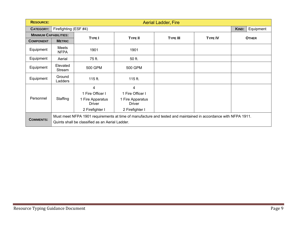| <b>RESOURCE:</b>             | <b>Aerial Ladder, Fire</b> |                                                                                                                                                                    |                                                                        |                 |                |              |  |  |  |
|------------------------------|----------------------------|--------------------------------------------------------------------------------------------------------------------------------------------------------------------|------------------------------------------------------------------------|-----------------|----------------|--------------|--|--|--|
| CATEGORY:                    |                            | Firefighting (ESF #4)                                                                                                                                              |                                                                        |                 |                |              |  |  |  |
| <b>MINIMUM CAPABILITIES:</b> |                            | <b>TYPE I</b>                                                                                                                                                      | <b>TYPE II</b>                                                         | <b>TYPE III</b> | <b>TYPE IV</b> | <b>OTHER</b> |  |  |  |
| <b>COMPONENT</b>             | <b>METRIC</b>              |                                                                                                                                                                    |                                                                        |                 |                |              |  |  |  |
| Equipment                    | Meets<br><b>NFPA</b>       | 1901                                                                                                                                                               | 1901                                                                   |                 |                |              |  |  |  |
| Equipment                    | Aerial                     | 75 ft.                                                                                                                                                             | 50 ft.                                                                 |                 |                |              |  |  |  |
| Equipment                    | Elevated<br>Stream         | 500 GPM                                                                                                                                                            | <b>500 GPM</b>                                                         |                 |                |              |  |  |  |
| Equipment                    | Ground<br>Ladders          | 115 ft.                                                                                                                                                            | 115 ft.                                                                |                 |                |              |  |  |  |
| Personnel                    | Staffing                   | 4<br>1 Fire Officer I<br>1 Fire Apparatus<br><b>Driver</b><br>2 Firefighter I                                                                                      | 4<br>1 Fire Officer I<br>1 Fire Apparatus<br>Driver<br>2 Firefighter I |                 |                |              |  |  |  |
| <b>COMMENTS:</b>             |                            | Must meet NFPA 1901 requirements at time of manufacture and tested and maintained in accordance with NFPA 1911.<br>Quints shall be classified as an Aerial Ladder. |                                                                        |                 |                |              |  |  |  |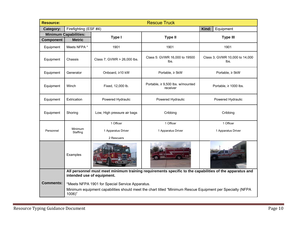| <b>Resource:</b> |                                                                                                                                       |                                                 | <b>Rescue Truck</b>                                                                                       |                                        |  |  |
|------------------|---------------------------------------------------------------------------------------------------------------------------------------|-------------------------------------------------|-----------------------------------------------------------------------------------------------------------|----------------------------------------|--|--|
| Category:        | Firefighting (ESF #4)                                                                                                                 |                                                 |                                                                                                           | Kind:<br>Equipment                     |  |  |
|                  | <b>Minimum Capabilities:</b>                                                                                                          | Type I                                          | <b>Type II</b>                                                                                            | <b>Type III</b>                        |  |  |
| <b>Component</b> | <b>Metric</b>                                                                                                                         |                                                 |                                                                                                           |                                        |  |  |
| Equipment        | Meets NFPA *                                                                                                                          | 1901                                            | 1901                                                                                                      | 1901                                   |  |  |
| Equipment        | Chassis                                                                                                                               | Class 7; GVWR > 26,000 lbs.                     | Class 5: GVWR 16,000 to 19500<br>lbs.                                                                     | Class 3; GVWR 10,000 to 14,000<br>lbs. |  |  |
| Equipment        | Generator                                                                                                                             | Onboard, ≥10 kW                                 | Portable, ≥ 5kW                                                                                           | Portable, ≥ 5kW                        |  |  |
| Equipment        | Winch                                                                                                                                 | Fixed, 12,000 lb.                               | Portable, $\geq 9,500$ lbs. w/mounted<br>receiver                                                         | Portable, $\geq 1000$ lbs.             |  |  |
| Equipment        | Extrication                                                                                                                           | Powered Hydraulic                               | Powered Hydraulic                                                                                         | Powered Hydraulic                      |  |  |
| Equipment        | Shoring                                                                                                                               | Low, High pressure air bags                     | Cribbing                                                                                                  | Cribbing                               |  |  |
|                  |                                                                                                                                       | 1 Officer                                       | 1 Officer                                                                                                 | 1 Officer                              |  |  |
| Personnel        | Minimum<br>Staffing                                                                                                                   | 1 Apparatus Driver                              | 1 Apparatus Driver                                                                                        | 1 Apparatus Driver                     |  |  |
|                  |                                                                                                                                       | 2 Rescuers                                      |                                                                                                           |                                        |  |  |
|                  | Examples                                                                                                                              |                                                 |                                                                                                           |                                        |  |  |
|                  | All personnel must meet minimum training requirements specific to the capabilities of the apparatus and<br>intended use of equipment. |                                                 |                                                                                                           |                                        |  |  |
| <b>Comments:</b> |                                                                                                                                       | *Meets NFPA 1901 for Special Service Apparatus. |                                                                                                           |                                        |  |  |
|                  | 1006)"                                                                                                                                |                                                 | Minimum equipment capabilities should meet the chart titled "Minimum Rescue Equipment per Specialty (NFPA |                                        |  |  |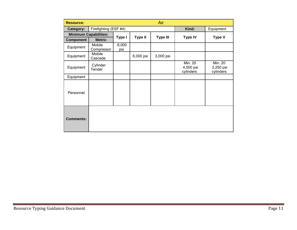| <b>Resource:</b>             |                       |              |                | Air             |                                          |                                          |
|------------------------------|-----------------------|--------------|----------------|-----------------|------------------------------------------|------------------------------------------|
| Category:                    | Firefighting (ESF #4) |              |                |                 | Kind:                                    | Equipment                                |
| <b>Minimum Capabilities:</b> |                       | Type I       | <b>Type II</b> | <b>Type III</b> | <b>Type IV</b>                           | <b>Type V</b>                            |
| <b>Component</b>             | <b>Metric</b>         |              |                |                 |                                          |                                          |
| Equipment                    | Mobile<br>Compressor  | 6,000<br>psi |                |                 |                                          |                                          |
| Equipment                    | Mobile<br>Cascade     |              | 6,000 psi      | 3,000 psi       |                                          |                                          |
| Equipment                    | Cylinder<br>Tender    |              |                |                 | <b>Min. 20</b><br>4,500 psi<br>cylinders | <b>Min. 20</b><br>2,250 psi<br>cylinders |
| Equipment                    |                       |              |                |                 |                                          |                                          |
| Personnel                    |                       |              |                |                 |                                          |                                          |
| <b>Comments:</b>             |                       |              |                |                 |                                          |                                          |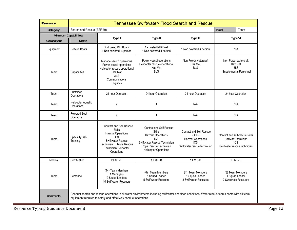| <b>Resource:</b>      |                                         |                                                                                                                                                                                    | <b>Tennessee Swiftwater/ Flood Search and Rescue</b>                                                                                                                                |                                                                                                                    |                                                                                            |                                                             |
|-----------------------|-----------------------------------------|------------------------------------------------------------------------------------------------------------------------------------------------------------------------------------|-------------------------------------------------------------------------------------------------------------------------------------------------------------------------------------|--------------------------------------------------------------------------------------------------------------------|--------------------------------------------------------------------------------------------|-------------------------------------------------------------|
| Category:             | Search and Rescue (ESF #9)              |                                                                                                                                                                                    |                                                                                                                                                                                     |                                                                                                                    | Kind                                                                                       | Team                                                        |
| Minimum Capabilities: |                                         |                                                                                                                                                                                    |                                                                                                                                                                                     |                                                                                                                    |                                                                                            |                                                             |
| Component             | <b>Metric</b>                           | Type I                                                                                                                                                                             | Type II                                                                                                                                                                             | Type III                                                                                                           |                                                                                            | Type VI                                                     |
| Equipment             | Rescue Boats                            | 2 - Fueled RIB Boats<br>1 Non powered -4 person                                                                                                                                    | 1 - Fueled RIB Boat<br>1 Non powered 4 person                                                                                                                                       | 1 Non powered 4 person                                                                                             |                                                                                            | N/A                                                         |
| Team                  | Capabilities                            | Manage search operations<br>Power vessel operations<br>Helicopter rescue operational<br>Haz Mat<br><b>ALS</b><br>Communications<br>Logistics                                       | Power vessel operations<br>Helicopter rescue operational<br>Haz Mat<br><b>BLS</b>                                                                                                   | Non-Power watercraft<br>Haz Mat<br><b>BLS</b>                                                                      | Non-Power watercraft<br>Haz Mat<br><b>BLS</b><br>Supplemental Personnel                    |                                                             |
| Team                  | Sustained<br>Operations                 | 24 hour Operation                                                                                                                                                                  | 24 hour Operation                                                                                                                                                                   | 24 hour Operation                                                                                                  |                                                                                            | 24 hour Operation                                           |
| Team                  | <b>Helicopter Aquatic</b><br>Operations | $\overline{2}$                                                                                                                                                                     | $\mathbf{1}$                                                                                                                                                                        | N/A                                                                                                                |                                                                                            | N/A                                                         |
| Team                  | Powered Boat<br>Operators               | $\overline{2}$                                                                                                                                                                     | $\mathbf{1}$                                                                                                                                                                        | N/A                                                                                                                |                                                                                            | N/A                                                         |
| Team                  | Specialty SAR<br>Training               | <b>Contact and Self Rescue</b><br><b>Skills</b><br><b>Hazmat Operations</b><br><b>ICS</b><br>Swiftwater Rescue<br>Rope Rescue<br>Technician<br>Technician Helicopter<br>Operations | <b>Contact and Self Rescue</b><br><b>Skills</b><br><b>Hazmat Operations</b><br><b>ICS</b><br>Swiftwater Rescue Technician<br>Rope Rescue Technician<br><b>Helicopter Operations</b> | <b>Contact and Self Rescue</b><br><b>Skills</b><br><b>Hazmat Operations</b><br>ICS<br>Swiftwater rescue technician | Contact and self-rescue skills<br>HazMat Operations<br>ICS<br>Swiftwater rescue technician |                                                             |
| Medical               | Certification                           | 2 EMT-P                                                                                                                                                                            | 1 EMT-B                                                                                                                                                                             | 1 EMT-B                                                                                                            |                                                                                            | 1 EMT-B                                                     |
| Team                  | Personnel                               | (14) Team Members<br>1 Managers<br>2 Squad Leaders<br>10 Swiftwater Rescuers                                                                                                       | (6) Team Members<br>1 Squad Leader<br>5 Swiftwater Rescuers                                                                                                                         | (4) Team Members<br>1 Squad Leader<br>3 Swiftwater Rescuers                                                        |                                                                                            | (3) Team Members<br>1 Squad Leader<br>2 Swiftwater Rescuers |
| Comments:             |                                         | equipment required to safely and effectively conduct operations.                                                                                                                   | Conduct search and rescue operations in all water environments including swiftwater and flood conditions. Water rescue teams come with all team                                     |                                                                                                                    |                                                                                            |                                                             |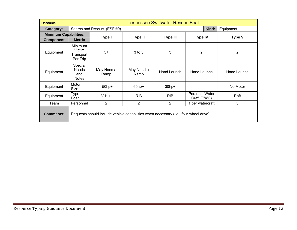| <b>Resource:</b>             |                                                   |                                                                                       |                    | <b>Tennessee Swiftwater Rescue Boat</b> |                               |                |
|------------------------------|---------------------------------------------------|---------------------------------------------------------------------------------------|--------------------|-----------------------------------------|-------------------------------|----------------|
| Category:                    |                                                   | Search and Rescue (ESF #9)                                                            |                    |                                         | Kind:                         | Equipment      |
| <b>Minimum Capabilities:</b> |                                                   | Type I                                                                                | <b>Type II</b>     | <b>Type III</b>                         | <b>Type IV</b>                | <b>Type V</b>  |
| <b>Component</b>             | <b>Metric</b>                                     |                                                                                       |                    |                                         |                               |                |
| Equipment                    | <b>Minimum</b><br>Victim<br>Transport<br>Per Trip | $5+$                                                                                  | $3$ to 5           | 3                                       | $\overline{2}$                | $\overline{2}$ |
| Equipment                    | Special<br><b>Needs</b><br>and<br><b>Notes</b>    | May Need a<br>Ramp                                                                    | May Need a<br>Ramp | Hand Launch                             | Hand Launch                   | Hand Launch    |
| Equipment                    | Motor<br>Size                                     | 150hp+                                                                                | $60$ hp+           | $30$ hp+                                |                               | No Motor       |
| Equipment                    | Type<br>Boat                                      | V-Hull                                                                                | <b>RIB</b>         | <b>RIB</b>                              | Personal Water<br>Craft (PWC) | Raft           |
| Team                         | Personnel                                         | 2                                                                                     | 2                  | $\overline{2}$                          | 1 per watercraft              | 3              |
| <b>Comments:</b>             |                                                   | Requests should include vehicle capabilities when necessary (i.e., four-wheel drive). |                    |                                         |                               |                |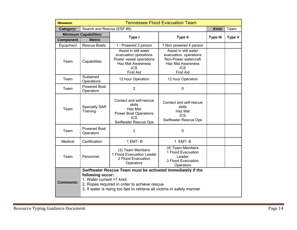| <b>Resource:</b> |                                              |                                                                                                                                                                                        | <b>Tennessee Flood Evacuation Team</b>                                                                                                |                 |               |
|------------------|----------------------------------------------|----------------------------------------------------------------------------------------------------------------------------------------------------------------------------------------|---------------------------------------------------------------------------------------------------------------------------------------|-----------------|---------------|
| Category:        | Search and Rescue (ESF #9)                   |                                                                                                                                                                                        |                                                                                                                                       | Kind:           | Team          |
|                  | <b>Minimum Capabilities:</b>                 | Type I                                                                                                                                                                                 | <b>Type II</b>                                                                                                                        | <b>Type III</b> | <b>Type V</b> |
| <b>Component</b> | <b>Metric</b>                                |                                                                                                                                                                                        |                                                                                                                                       |                 |               |
| Equipment        | <b>Rescue Boats</b>                          | 1 - Powered 3 person                                                                                                                                                                   | 1 Non powered 4 person                                                                                                                |                 |               |
| Team             | Capabilities                                 | Assist in still water<br>evacuation operations<br>Power vessel operations<br><b>Haz Mat Awareness</b><br><b>ICS</b><br><b>First Aid</b>                                                | Assist in still water<br>evacuation. operations<br>Non-Power watercraft<br><b>Haz Mat Awareness</b><br><b>ICS</b><br><b>First Aid</b> |                 |               |
| Team             | Sustained<br>Operations                      | 12 hour Operation                                                                                                                                                                      | 12 hour Operation                                                                                                                     |                 |               |
| Team             | <b>Powered Boat</b><br>Operators             | $\overline{2}$                                                                                                                                                                         | 0                                                                                                                                     |                 |               |
| Team             | <b>Specialty SAR</b><br>Training             | Contact and self-rescue<br>skills<br>Haz Mat<br><b>Power Boat Operations</b><br><b>ICS</b><br>Swiftwater Rescue Ops                                                                    | Contact and self-rescue<br>skills<br>Haz Mat<br><b>ICS</b><br><b>Swiftwater Rescue Ops</b>                                            |                 |               |
| Team             | Powered Boat<br>Operators                    | $\overline{2}$                                                                                                                                                                         | 0                                                                                                                                     |                 |               |
| Medical          | Certification                                | 1 EMT-B                                                                                                                                                                                | 1 EMT-B                                                                                                                               |                 |               |
| Team             | Personnel                                    | (3) Team Members<br>1 Flood Evacuation Leader<br>2 Flood Evacuation<br>Operators                                                                                                       | (4) Team Members<br>1 Flood Evacuation<br>Leader<br>3 Flood Evacuation<br>Operators                                                   |                 |               |
| <b>Comments:</b> | following occur:<br>1. Water current >1 knot | Swiftwater Rescue Team must be activated immediately if the<br>2. Ropes required in order to achieve rescue<br>3. If water is rising too fast to retrieve all victims in safely manner |                                                                                                                                       |                 |               |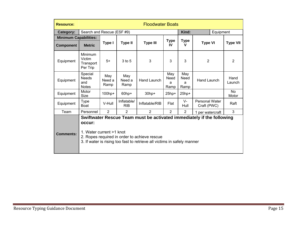| <b>Resource:</b>             |                                                   | <b>Floodwater Boats</b>                                                                                                                                                                                                                          |                           |                 |                          |                          |                                      |  |                    |
|------------------------------|---------------------------------------------------|--------------------------------------------------------------------------------------------------------------------------------------------------------------------------------------------------------------------------------------------------|---------------------------|-----------------|--------------------------|--------------------------|--------------------------------------|--|--------------------|
| Category:                    | Search and Rescue (ESF #9)                        |                                                                                                                                                                                                                                                  |                           |                 |                          | Kind:<br>Equipment       |                                      |  |                    |
| <b>Minimum Capabilities:</b> |                                                   |                                                                                                                                                                                                                                                  |                           |                 |                          |                          |                                      |  |                    |
| <b>Component</b>             | <b>Metric</b>                                     | Type I                                                                                                                                                                                                                                           | <b>Type II</b>            | <b>Type III</b> | <b>Type</b><br>IV        | <b>Type</b><br>v         | <b>Type VI</b>                       |  | <b>Type VII</b>    |
| Equipment                    | <b>Minimum</b><br>Victim<br>Transport<br>Per Trip | $5+$                                                                                                                                                                                                                                             | 3 to 5                    | 3               | 3                        | 3                        | $\overline{2}$                       |  | $\overline{2}$     |
| Equipment                    | Special<br><b>Needs</b><br>and<br><b>Notes</b>    | May<br>Need a<br>Ramp                                                                                                                                                                                                                            | May<br>Need a<br>Ramp     | Hand Launch     | May<br>Need<br>a<br>Ramp | May<br>Need<br>a<br>Ramp | Hand Launch                          |  | Hand<br>Launch     |
| Equipment                    | Motor<br>Size                                     | $100$ hp+                                                                                                                                                                                                                                        | $60$ hp+                  | $30$ hp+        | $25$ hp+                 | $25$ hp+                 |                                      |  | <b>No</b><br>Motor |
| Equipment                    | <b>Type</b><br>Boat                               | V-Hull                                                                                                                                                                                                                                           | Inflatable/<br><b>RIB</b> | Inflatable/RIB  | Flat                     | $V -$<br>Hull            | <b>Personal Water</b><br>Craft (PWC) |  | Raft               |
| Team                         | Personnel                                         | 2                                                                                                                                                                                                                                                | $\overline{2}$            | $\overline{2}$  | $\overline{2}$           | $\overline{2}$           |                                      |  | 3                  |
| <b>Comments:</b>             | occur:                                            | 1 per watercraft<br>Swiftwater Rescue Team must be activated immediately if the following<br>1. Water current >1 knot<br>2. Ropes required in order to achieve rescue<br>3. If water is rising too fast to retrieve all victims in safely manner |                           |                 |                          |                          |                                      |  |                    |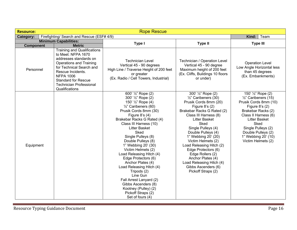| <b>Resource:</b> |                                                                                                                                                                                                                                                                      | <b>Rope Rescue</b>                                                                                                                                                                                                                                                                                                                                                                                                                                                                                                                                                                |                                                                                                                                                                                                                                                                                                                                                                                                                                                            |                                                                                                                                                                                                                                                                          |
|------------------|----------------------------------------------------------------------------------------------------------------------------------------------------------------------------------------------------------------------------------------------------------------------|-----------------------------------------------------------------------------------------------------------------------------------------------------------------------------------------------------------------------------------------------------------------------------------------------------------------------------------------------------------------------------------------------------------------------------------------------------------------------------------------------------------------------------------------------------------------------------------|------------------------------------------------------------------------------------------------------------------------------------------------------------------------------------------------------------------------------------------------------------------------------------------------------------------------------------------------------------------------------------------------------------------------------------------------------------|--------------------------------------------------------------------------------------------------------------------------------------------------------------------------------------------------------------------------------------------------------------------------|
| Category:        | Firefighting/ Search and Rescue (ESF# 4/9)                                                                                                                                                                                                                           |                                                                                                                                                                                                                                                                                                                                                                                                                                                                                                                                                                                   |                                                                                                                                                                                                                                                                                                                                                                                                                                                            | Kind:<br>Team                                                                                                                                                                                                                                                            |
|                  | <b>Minimum Capabilities:</b>                                                                                                                                                                                                                                         | Type I                                                                                                                                                                                                                                                                                                                                                                                                                                                                                                                                                                            | <b>Type II</b>                                                                                                                                                                                                                                                                                                                                                                                                                                             | <b>Type III</b>                                                                                                                                                                                                                                                          |
| <b>Component</b> | <b>Metric</b>                                                                                                                                                                                                                                                        |                                                                                                                                                                                                                                                                                                                                                                                                                                                                                                                                                                                   |                                                                                                                                                                                                                                                                                                                                                                                                                                                            |                                                                                                                                                                                                                                                                          |
| Personnel        | <b>Training and Qualifications</b><br>to Meet: NFPA 1670<br>addresses standards on<br>Operations and Training<br>for Technical Search and<br>Rescue Incidents.<br><b>NFPA 1006</b><br><b>Standard for Rescue</b><br><b>Technician Professional</b><br>Qualifications | <b>Technician Level</b><br>Vertical 45 - 90 degrees<br>High Line / Traverse Height of 200 feet<br>or greater<br>(Ex. Radio / Cell Towers, Industrial)                                                                                                                                                                                                                                                                                                                                                                                                                             | Technician / Operation Level<br>Vertical 45 - 90 degree<br>Maximum height of 200 feet<br>(Ex. Cliffs, Buildings 10 floors<br>or under)                                                                                                                                                                                                                                                                                                                     | <b>Operation Level</b><br>Low Angle Horizontal less<br>than 45 degrees<br>(Ex. Embankments)                                                                                                                                                                              |
| Equipment        |                                                                                                                                                                                                                                                                      | 600' 1/2" Rope (2)<br>300' 1/2" Rope (2)<br>150' 1/2" Rope (4)<br>$\frac{1}{2}$ " Caribeners (60)<br>Prusik Cords 8mm (30)<br>Figure $8's(4)$<br>Brakebar Racks G Rated (4)<br>Class III Harness (10)<br><b>Litter Basket</b><br>Sked<br>Single Pulleys (8)<br>Double Pulleys (8)<br>1" Webbing 20' (30)<br>Victim Helmets (2)<br>Load Releasing Hitch (4)<br>Edge Protectors (6)<br>Anchor Plates (4)<br>Load Releasing Hitch (4)<br>Tripods (2)<br>Line Gun<br>Fall Arrest Lanyard (2)<br>Gibbs Ascenders (8)<br>Kootney (Pulley) (2)<br>Pickoff Straps (2)<br>Set of fours (4) | 300' 1/2" Rope (2)<br>$\frac{1}{2}$ " Caribeners (30)<br>Prusik Cords 8mm (20)<br>Figure $8$ 's $(2)$<br>Brakebar Racks G Rated (2)<br>Class III Harness (8)<br><b>Litter Basket</b><br>Sked<br>Single Pulleys (4)<br>Double Pulleys (4)<br>1" Webbing 20' (20)<br>Victim Helmets (2)<br>Load Releasing Hitch (2)<br>Edge Protectors (6)<br>Edge Rollers (2)<br>Anchor Plates (4)<br>Load Releasing Hitch (4)<br>Gibbs Ascenders (6)<br>Pickoff Straps (2) | 150' 1/2" Rope (2)<br>$\frac{1}{2}$ " Caribeners (15)<br>Prusik Cords 8mm (10)<br>Figure $8's(2)$<br>Brakebar Racks (2)<br>Class II Harness (6)<br><b>Litter Basket</b><br>Sked<br>Single Pulleys (2)<br>Double Pulleys (2)<br>1" Webbing 20' (10)<br>Victim Helmets (2) |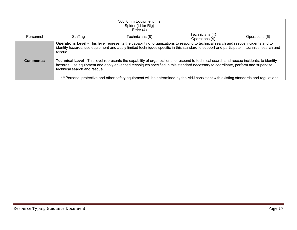|           |                                         | 300' 6mm Equipment line<br>Spider (Litter Rig)<br>Etrier $(4)$                                                                                                                                                                                                                                                                                                                                                                                                                                                                                                                                                                                                                                       |                                   |                |
|-----------|-----------------------------------------|------------------------------------------------------------------------------------------------------------------------------------------------------------------------------------------------------------------------------------------------------------------------------------------------------------------------------------------------------------------------------------------------------------------------------------------------------------------------------------------------------------------------------------------------------------------------------------------------------------------------------------------------------------------------------------------------------|-----------------------------------|----------------|
| Personnel | Staffing                                | Technicians (8)                                                                                                                                                                                                                                                                                                                                                                                                                                                                                                                                                                                                                                                                                      | Technicians (4)<br>Operations (4) | Operations (6) |
| Comments: | rescue.<br>technical search and rescue. | Operations Level - This level represents the capability of organizations to respond to technical search and rescue incidents and to<br>identify hazards, use equipment and apply limited techniques specific in this standard to support and participate in technical search and<br>Technical Level - This level represents the capability of organizations to respond to technical search and rescue incidents, to identify<br>hazards, use equipment and apply advanced techniques specified in this standard necessary to coordinate, perform and supervise<br>***Personal protective and other safety equipment will be determined by the AHJ consistent with existing standards and regulations |                                   |                |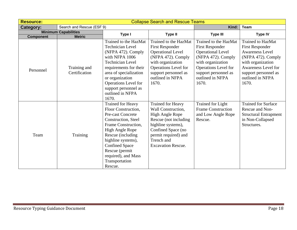| <b>Resource:</b> |                               |                                                                                                                                                                                                                                                                                               | <b>Collapse Search and Rescue Teams</b>                                                                                                                                                                          |                                                                                                                                                                                                     |                                                                                                                                                                                                            |
|------------------|-------------------------------|-----------------------------------------------------------------------------------------------------------------------------------------------------------------------------------------------------------------------------------------------------------------------------------------------|------------------------------------------------------------------------------------------------------------------------------------------------------------------------------------------------------------------|-----------------------------------------------------------------------------------------------------------------------------------------------------------------------------------------------------|------------------------------------------------------------------------------------------------------------------------------------------------------------------------------------------------------------|
| Category:        | Search and Rescue (ESF 9)     |                                                                                                                                                                                                                                                                                               |                                                                                                                                                                                                                  | Kind:                                                                                                                                                                                               | Team                                                                                                                                                                                                       |
|                  | <b>Minimum Capabilities</b>   | Type I                                                                                                                                                                                                                                                                                        | <b>Type II</b>                                                                                                                                                                                                   | <b>Type III</b>                                                                                                                                                                                     | <b>Type IV</b>                                                                                                                                                                                             |
| <b>Component</b> | <b>Metric</b>                 |                                                                                                                                                                                                                                                                                               |                                                                                                                                                                                                                  |                                                                                                                                                                                                     |                                                                                                                                                                                                            |
| Personnel        | Training and<br>Certification | Trained to the HazMat<br><b>Technician Level</b><br>(NFPA 472). Comply<br>with NFPA 1006<br><b>Technician Level</b><br>requirements for their<br>area of specialization<br>or organization<br>Operations Level for<br>support personnel as<br>outlined in NFPA<br>1670.                       | Trained to the HazMat<br><b>First Responder</b><br><b>Operational Level</b><br>(NFPA 472). Comply<br>with organization<br>Operations Level for<br>support personnel as<br>outlined in NFPA<br>1670.              | Trained to the HazMat<br><b>First Responder</b><br><b>Operational Level</b><br>(NFPA 472). Comply<br>with organization<br>Operations Level for<br>support personnel as<br>outlined in NFPA<br>1670. | <b>Trained to HazMat</b><br><b>First Responder</b><br><b>Awareness Level</b><br>(NFPA 472). Comply<br>with organization<br><b>Awareness Level for</b><br>support personnel as<br>outlined in NFPA<br>1670. |
| Team             | Training                      | <b>Trained for Heavy</b><br>Floor Construction,<br><b>Pre-cast Concrete</b><br>Construction, Steel<br>Frame Construction,<br><b>High Angle Rope</b><br>Rescue (including<br>highline systems),<br><b>Confined Space</b><br>Rescue (permit<br>required), and Mass<br>Transportation<br>Rescue. | <b>Trained for Heavy</b><br>Wall Construction,<br><b>High Angle Rope</b><br>Rescue (not including<br>highline systems),<br>Confined Space (no<br>permit required) and<br>Trench and<br><b>Excavation Rescue.</b> | <b>Trained for Light</b><br><b>Frame Construction</b><br>and Low Angle Rope<br>Rescue.                                                                                                              | <b>Trained for Surface</b><br>Rescue and Non-<br><b>Structural Entrapment</b><br>in Non-Collapsed<br>Structures.                                                                                           |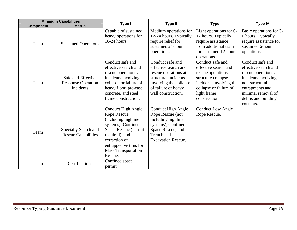|                  | <b>Minimum Capabilities</b>                                         | <b>Type II</b><br>Type I                                                                                                                                                                                           |                                                                                                                                                                 | <b>Type III</b>                                                                                                                                                             | <b>Type IV</b>                                                                                                                                                                         |
|------------------|---------------------------------------------------------------------|--------------------------------------------------------------------------------------------------------------------------------------------------------------------------------------------------------------------|-----------------------------------------------------------------------------------------------------------------------------------------------------------------|-----------------------------------------------------------------------------------------------------------------------------------------------------------------------------|----------------------------------------------------------------------------------------------------------------------------------------------------------------------------------------|
| <b>Component</b> | <b>Metric</b>                                                       |                                                                                                                                                                                                                    |                                                                                                                                                                 |                                                                                                                                                                             |                                                                                                                                                                                        |
| Team             | <b>Sustained Operations</b>                                         | Capable of sustained<br>heavy operations for<br>18-24 hours.                                                                                                                                                       | Medium operations for<br>12-24 hours. Typically<br>require relief for<br>sustained 24-hour<br>operations.                                                       | Light operations for 6-<br>12 hours. Typically<br>require assistance<br>from additional team<br>for sustained 12-hour<br>operations.                                        | Basic operations for 3-<br>6 hours. Typically<br>require assistance for<br>sustained 6-hour<br>operations.                                                                             |
| Team             | Safe and Effective<br><b>Response Operation</b><br><b>Incidents</b> | Conduct safe and<br>effective search and<br>rescue operations at<br>incidents involving<br>collapse or failure of<br>heavy floor, pre-cast<br>concrete, and steel<br>frame construction.                           | Conduct safe and<br>effective search and<br>rescue operations at<br>structural incidents<br>involving the collapse<br>of failure of heavy<br>wall construction. | Conduct safe and<br>effective search and<br>rescue operations at<br>structure collapse<br>incidents involving the<br>collapse or failure of<br>light frame<br>construction. | Conduct safe and<br>effective search and<br>rescue operations at<br>incidents involving<br>non-structural<br>entrapments and<br>minimal removal of<br>debris and building<br>contents. |
| Team             | Specialty Search and<br><b>Rescue Capabilities</b>                  | <b>Conduct High Angle</b><br>Rope Rescue<br>(including highline<br>systems), Confined<br>Space Rescue (permit<br>required), and<br>extraction of<br>entrapped victims for<br><b>Mass Transportation</b><br>Rescue. | <b>Conduct High Angle</b><br>Rope Rescue (not<br>including highline<br>systems), Confined<br>Space Rescue, and<br>Trench and<br><b>Excavation Rescue.</b>       | <b>Conduct Low Angle</b><br>Rope Rescue.                                                                                                                                    |                                                                                                                                                                                        |
| Team             | Certifications                                                      | Confined space<br>permit.                                                                                                                                                                                          |                                                                                                                                                                 |                                                                                                                                                                             |                                                                                                                                                                                        |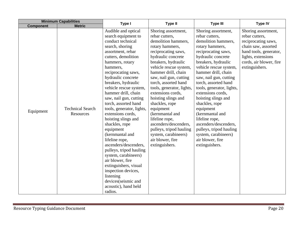| <b>Minimum Capabilities</b> |                                      | Type I                                                                                                                                                                                                                                                                                                                                                                                                                                                                                                                                                                                                                                                                                                   | <b>Type II</b>                                                                                                                                                                                                                                                                                                                                                                                                                                                                                                        | <b>Type III</b>                                                                                                                                                                                                                                                                                                                                                                                                                                                                                                       | <b>Type IV</b>                                                                                                                                                                   |
|-----------------------------|--------------------------------------|----------------------------------------------------------------------------------------------------------------------------------------------------------------------------------------------------------------------------------------------------------------------------------------------------------------------------------------------------------------------------------------------------------------------------------------------------------------------------------------------------------------------------------------------------------------------------------------------------------------------------------------------------------------------------------------------------------|-----------------------------------------------------------------------------------------------------------------------------------------------------------------------------------------------------------------------------------------------------------------------------------------------------------------------------------------------------------------------------------------------------------------------------------------------------------------------------------------------------------------------|-----------------------------------------------------------------------------------------------------------------------------------------------------------------------------------------------------------------------------------------------------------------------------------------------------------------------------------------------------------------------------------------------------------------------------------------------------------------------------------------------------------------------|----------------------------------------------------------------------------------------------------------------------------------------------------------------------------------|
| <b>Component</b>            | <b>Metric</b>                        |                                                                                                                                                                                                                                                                                                                                                                                                                                                                                                                                                                                                                                                                                                          |                                                                                                                                                                                                                                                                                                                                                                                                                                                                                                                       |                                                                                                                                                                                                                                                                                                                                                                                                                                                                                                                       |                                                                                                                                                                                  |
| Equipment                   | <b>Technical Search</b><br>Resources | Audible and optical<br>search equipment to<br>conduct technical<br>search, shoring<br>assortment, rebar<br>cutters, demolition<br>hammers, rotary<br>hammers,<br>reciprocating saws,<br>hydraulic concrete<br>breakers, hydraulic<br>vehicle rescue system,<br>hammer drill, chain<br>saw, nail gun, cutting<br>torch, assorted hand<br>tools, generator, lights,<br>extensions cords,<br>hoisting slings and<br>shackles, rope<br>equipment<br>(kernmantal and<br>lifeline rope,<br>ascenders/descenders,<br>pulleys, tripod hauling<br>system, carabineers)<br>air blower, fire<br>extinguishers, visual<br>inspection devices,<br>listening<br>devices(seismic and<br>acoustic), hand held<br>radios. | Shoring assortment,<br>rebar cutters,<br>demolition hammers,<br>rotary hammers,<br>reciprocating saws,<br>hydraulic concrete<br>breakers, hydraulic<br>vehicle rescue system,<br>hammer drill, chain<br>saw, nail gun, cutting<br>torch, assorted hand<br>tools, generator, lights,<br>extensions cords,<br>hoisting slings and<br>shackles, rope<br>equipment<br>(kernmantal and<br>lifeline rope,<br>ascenders/descenders,<br>pulleys, tripod hauling<br>system, carabineers)<br>air blower, fire<br>extinguishers. | Shoring assortment,<br>rebar cutters,<br>demolition hammers,<br>rotary hammers,<br>reciprocating saws,<br>hydraulic concrete<br>breakers, hydraulic<br>vehicle rescue system,<br>hammer drill, chain<br>saw, nail gun, cutting<br>torch, assorted hand<br>tools, generator, lights,<br>extensions cords,<br>hoisting slings and<br>shackles, rope<br>equipment<br>(kernmantal and<br>lifeline rope,<br>ascenders/descenders,<br>pulleys, tripod hauling<br>system, carabineers)<br>air blower, fire<br>extinguishers. | Shoring assortment,<br>rebar cutters,<br>reciprocating saws,<br>chain saw, assorted<br>hand tools, generator,<br>lights, extensions<br>cords, air blower, fire<br>extinguishers. |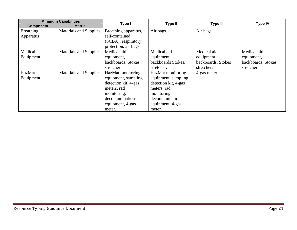|                  | <b>Minimum Capabilities</b> | Type I                | <b>Type II</b>       | <b>Type III</b>    | <b>Type IV</b>     |
|------------------|-----------------------------|-----------------------|----------------------|--------------------|--------------------|
| <b>Component</b> | <b>Metric</b>               |                       |                      |                    |                    |
| <b>Breathing</b> | Materials and Supplies      | Breathing apparatus,  | Air bags.            | Air bags.          |                    |
| Apparatus        |                             | self-contained        |                      |                    |                    |
|                  |                             | (SCBA), respiratory   |                      |                    |                    |
|                  |                             | protection, air bags. |                      |                    |                    |
| Medical          | Materials and Supplies      | Medical aid           | Medical aid          | Medical aid        | Medical aid        |
| Equipment        |                             | equipment,            | equipment,           | equipment,         | equipment,         |
|                  |                             | backboards, Stokes    | backboards Stokes,   | backboards, Stokes | backboards, Stokes |
|                  |                             | stretcher.            | stretcher.           | stretcher.         | stretcher.         |
| HazMat           | Materials and Supplies      | HazMat monitoring     | HazMat monitoring    | 4-gas meter.       |                    |
| Equipment        |                             | equipment, sampling   | equipment, sampling  |                    |                    |
|                  |                             | detection kit, 4-gas  | detection kit, 4-gas |                    |                    |
|                  |                             | meters, rad           | meters, rad          |                    |                    |
|                  |                             | monitoring,           | monitoring,          |                    |                    |
|                  |                             | decontamination       | decontamination      |                    |                    |
|                  |                             | equipment, 4-gas      | equipment, 4-gas     |                    |                    |
|                  |                             | meter.                | meter.               |                    |                    |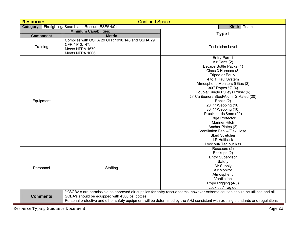| <b>Resource:</b>                         | <b>Confined Space</b>                                                                                 |                                                                                                                                                                                                                                                                                                                                                                                                                                                                                                                                       |
|------------------------------------------|-------------------------------------------------------------------------------------------------------|---------------------------------------------------------------------------------------------------------------------------------------------------------------------------------------------------------------------------------------------------------------------------------------------------------------------------------------------------------------------------------------------------------------------------------------------------------------------------------------------------------------------------------------|
|                                          | Category:   Firefighting/ Search and Rescue (ESF# 4/9)                                                | Team<br>Kind:                                                                                                                                                                                                                                                                                                                                                                                                                                                                                                                         |
|                                          | <b>Minimum Capabilities:</b>                                                                          | Type I                                                                                                                                                                                                                                                                                                                                                                                                                                                                                                                                |
| <b>Component</b>                         | <b>Metric</b>                                                                                         |                                                                                                                                                                                                                                                                                                                                                                                                                                                                                                                                       |
| Training                                 | Complies with OSHA 29 CFR 1910.146 and OSHA 29<br>CFR 1910.147.<br>Meets NFPA 1670<br>Meets NFPA 1006 | <b>Technician Level</b>                                                                                                                                                                                                                                                                                                                                                                                                                                                                                                               |
| Equipment                                |                                                                                                       | <b>Entry Permit</b><br>Air Carts (2)<br>Escape Bottle Packs (4)<br>Class 3 Harness (8)<br>Tripod or Equiv.<br>4 to 1 Haul System<br>Atmospheric Monitors 5 Gas (2)<br>300' Ropes 1/2" (4)<br>Double/ Single Pulleys Prusik (6)<br>1/2" Caribeners Steel/Alum. G Rated (20)<br>Racks (2)<br>20' 1" Webbing (10)<br>30' 1" Webbing (10)<br>Prusik cords 8mm (20)<br><b>Edge Protector</b><br><b>Mariner Hitch</b><br>Anchor Plates (2)<br>Ventilation Fan w/Flex Hose<br><b>Sked Stretcher</b><br>LP Halfback<br>Lock out/ Tag out Kits |
| Personnel                                | Staffing                                                                                              | Rescuers (2)<br>Backups (2)<br><b>Entry Supervisor</b><br>Safety<br>Air Supply<br>Air Monitor<br>Atmospheric<br>Ventilation<br>Rope Rigging (4-6)<br>Lock out/ Tag out                                                                                                                                                                                                                                                                                                                                                                |
| <b>Comments</b>                          | SCBA's should be equipped with 4500 psi bottles.                                                      | ***SCBA's are permissible as approved air supplies for entry rescue teams, however extreme caution should be utilized and all<br>Personal protective and other safety equipment will be determined by the AHJ consistent with existing standards and regulations                                                                                                                                                                                                                                                                      |
| <b>Resource Typing Guidance Document</b> |                                                                                                       | Page 22                                                                                                                                                                                                                                                                                                                                                                                                                                                                                                                               |
|                                          |                                                                                                       |                                                                                                                                                                                                                                                                                                                                                                                                                                                                                                                                       |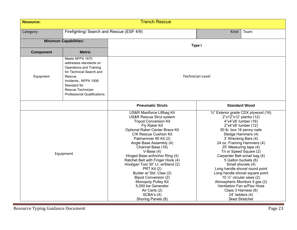| <b>Resource:</b> |                                                                                                                                                                                                                       | <b>Trench Rescue</b>                                                                                                                                                                                                                                                                                                                                                                                                                                                                                                                                         |                                                                                                                                                                                                                                                                                                                                                                                                                                                                                                                                                                                                            |      |  |
|------------------|-----------------------------------------------------------------------------------------------------------------------------------------------------------------------------------------------------------------------|--------------------------------------------------------------------------------------------------------------------------------------------------------------------------------------------------------------------------------------------------------------------------------------------------------------------------------------------------------------------------------------------------------------------------------------------------------------------------------------------------------------------------------------------------------------|------------------------------------------------------------------------------------------------------------------------------------------------------------------------------------------------------------------------------------------------------------------------------------------------------------------------------------------------------------------------------------------------------------------------------------------------------------------------------------------------------------------------------------------------------------------------------------------------------------|------|--|
| Category:        | Firefighting/ Search and Rescue (ESF 4/9)                                                                                                                                                                             |                                                                                                                                                                                                                                                                                                                                                                                                                                                                                                                                                              | Kind:                                                                                                                                                                                                                                                                                                                                                                                                                                                                                                                                                                                                      | Team |  |
|                  | <b>Minimum Capabilities:</b>                                                                                                                                                                                          |                                                                                                                                                                                                                                                                                                                                                                                                                                                                                                                                                              | Type I                                                                                                                                                                                                                                                                                                                                                                                                                                                                                                                                                                                                     |      |  |
| <b>Component</b> | <b>Metric</b>                                                                                                                                                                                                         |                                                                                                                                                                                                                                                                                                                                                                                                                                                                                                                                                              |                                                                                                                                                                                                                                                                                                                                                                                                                                                                                                                                                                                                            |      |  |
| Equipment        | Meets NFPA 1670<br>addresses standards on<br><b>Operations and Training</b><br>for Technical Search and<br>Rescue<br>Incidents., NFPA 1006<br>Standard for<br>Rescue Technician<br><b>Professional Qualifications</b> | <b>Technician Level</b>                                                                                                                                                                                                                                                                                                                                                                                                                                                                                                                                      |                                                                                                                                                                                                                                                                                                                                                                                                                                                                                                                                                                                                            |      |  |
|                  |                                                                                                                                                                                                                       | <b>Pneumatic Struts</b>                                                                                                                                                                                                                                                                                                                                                                                                                                                                                                                                      |                                                                                                                                                                                                                                                                                                                                                                                                                                                                                                                                                                                                            |      |  |
|                  | Equipment                                                                                                                                                                                                             | US&R Maxiforce Liftbag Kit<br><b>US&amp;R Rescue Strut system</b><br><b>Tripod Conversion Kit</b><br>Fly Raker Kit<br>Optional Raker Center Brace Kit<br>C/K Rescue Cushion Kit<br>Pakhammer 90 Kit (2)<br>Angle Base Assembly (4)<br>Channel Base (16)<br>$V-Base(4)$<br>Hinged Base w/Anchor Ring (4)<br>Ratchet Belt with Finger Hook (4)<br>Hooligan Tool 30" Lt. w/Stand (2)<br>PRT Kit (2)<br>Buster w/ Std. Claw (2)<br><b>Bipod Conversion (2)</b><br>Monopoly Pulley Kit<br>5,000 kw Generator<br>Air Carts (2)<br>SCBA's (4)<br>Shoring Panels (8) | <b>Standard Wood</b><br>3/4" Exterior grade CDX plywood (16)<br>2"x12"x12' planks (12)<br>4"x4"x8' lumber (16)<br>2"x4"x8' lumber (12)<br>50 lb. box 16 penny nails<br>Sledge Hammers (4)<br>3' Wrecking Bars (4)<br>24 oz. Framing Hammers (4)<br>25' Measuring tape (4)<br>Tri or Speed Square (2)<br>Carpenter Belt w/nail bag (4)<br>5 Gallon buckets (6)<br>Small shovels (4)<br>Long handle shovel round point<br>Long handle shovel square point<br>10 $\frac{1}{4}$ " circular saws (2)<br>Atmospheric Monitors 5 gas (2)<br>Ventilation Fan w/Flex Hose<br>Class 3 Harness (6)<br>24' ladders (4) |      |  |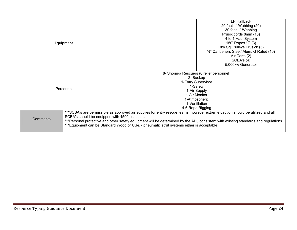| Equipment |                                                  |                                                                                                                                                                                                                                                                                                                                                               | LP Halfback<br>20 feet 1" Webbing (20)<br>30 feet 1" Webbing<br>Prusik cords 8mm (10)<br>4 to 1 Haul System<br>150' Ropes 1/2" (3)<br>Dbl/ Sgl Pulleys Prusick (3)<br>1/2" Caribeners Steel/ Alum. G Rated (10)<br>Air Carts (2)<br>SCBA's (4)<br>5,000kw Generator |
|-----------|--------------------------------------------------|---------------------------------------------------------------------------------------------------------------------------------------------------------------------------------------------------------------------------------------------------------------------------------------------------------------------------------------------------------------|---------------------------------------------------------------------------------------------------------------------------------------------------------------------------------------------------------------------------------------------------------------------|
| Personnel |                                                  | 8- Shoring/ Rescuers (6 relief personnel)<br>2- Backup<br>1-Entry Supervisor<br>1-Safety<br>1-Air Supply<br>1-Air Monitor<br>1-Ventilation<br>4-6 Rope Rigging                                                                                                                                                                                                | 1-Atmospheric                                                                                                                                                                                                                                                       |
| Comments  | SCBA's should be equipped with 4500 psi bottles. | ***SCBA's are permissible as approved air supplies for entry rescue teams, however extreme caution should be utilized and all<br>***Personal protective and other safety equipment will be determined by the AHJ consistent with existing standards and regulations<br>***Equipment can be Standard Wood or US&R pneumatic strut systems either is acceptable |                                                                                                                                                                                                                                                                     |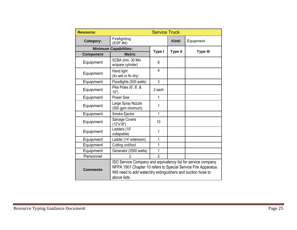| <b>Resource:</b> | <b>Service Truck</b>                                                                                                                                                                                            |                |                |                 |  |  |  |  |
|------------------|-----------------------------------------------------------------------------------------------------------------------------------------------------------------------------------------------------------------|----------------|----------------|-----------------|--|--|--|--|
| Category:        | Firefighting<br>(ESF #4)                                                                                                                                                                                        |                | Kind:          | Equipment       |  |  |  |  |
|                  | <b>Minimum Capabilities:</b>                                                                                                                                                                                    | Type I         | <b>Type II</b> | <b>Type III</b> |  |  |  |  |
| Component        | <b>Metric</b>                                                                                                                                                                                                   |                |                |                 |  |  |  |  |
| Equipment        | SCBA (min. 30 Min<br>w/spare cylinder)                                                                                                                                                                          | 6              |                |                 |  |  |  |  |
| Equipment        | Hand light<br>(4v wet or 6v dry)                                                                                                                                                                                | 4              |                |                 |  |  |  |  |
| Equipment        | Floodlights (500 watts)                                                                                                                                                                                         | 3              |                |                 |  |  |  |  |
| Equipment        | Pike Poles (6', 8', &<br>10")                                                                                                                                                                                   | 2 each         |                |                 |  |  |  |  |
| Equipment        | Power Saw                                                                                                                                                                                                       | 1              |                |                 |  |  |  |  |
| Equipment        | Large Spray Nozzle<br>(500 gpm minimum)                                                                                                                                                                         | 1              |                |                 |  |  |  |  |
| Equipment        | Smoke Ejector                                                                                                                                                                                                   | 1              |                |                 |  |  |  |  |
| Equipment        | <b>Salvage Covers</b><br>(12"x18")                                                                                                                                                                              | 10             |                |                 |  |  |  |  |
| Equipment        | Ladders (10'<br>collapsible)                                                                                                                                                                                    | 1              |                |                 |  |  |  |  |
| Equipment        | Ladder (14' extension)                                                                                                                                                                                          | 1              |                |                 |  |  |  |  |
| Equipment        | Cutting unit/tool                                                                                                                                                                                               | 1              |                |                 |  |  |  |  |
| Equipment        | Generator (2500 watts)                                                                                                                                                                                          | 1              |                |                 |  |  |  |  |
| Personnel        | 2                                                                                                                                                                                                               | $\overline{2}$ |                |                 |  |  |  |  |
| <b>Comments</b>  | ISO Service Company and equivalency list for service company.<br>NFPA 1901 Chapter 10 refers to Special Service Fire Apparatus.<br>Will need to add water/dry extinguishers and suction hose to<br>above lists. |                |                |                 |  |  |  |  |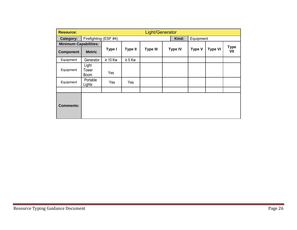| <b>Resource:</b>             |                                           | Light/Generator |                |                 |  |                |               |                |                    |
|------------------------------|-------------------------------------------|-----------------|----------------|-----------------|--|----------------|---------------|----------------|--------------------|
| Category:                    | Firefighting (ESF #4)                     |                 |                |                 |  | Kind:          | Equipment     |                |                    |
| <b>Minimum Capabilities:</b> |                                           |                 |                |                 |  |                |               |                |                    |
| <b>Component</b>             | <b>Metric</b>                             | Type I          | <b>Type II</b> | <b>Type III</b> |  | <b>Type IV</b> | <b>Type V</b> | <b>Type VI</b> | <b>Type</b><br>VII |
| Equipment                    | Generator                                 | $\geq 10$ Kw    | $\geq 5$ Kw    |                 |  |                |               |                |                    |
| Equipment                    | Light<br>Tower<br><b>Boom</b><br>Portable | Yes             |                |                 |  |                |               |                |                    |
| Equipment                    | Lights                                    | Yes             | Yes            |                 |  |                |               |                |                    |
| <b>Comments:</b>             |                                           |                 |                |                 |  |                |               |                |                    |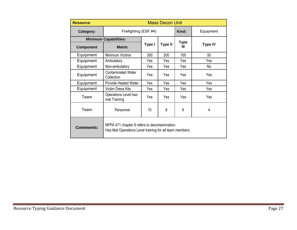| <b>Resource:</b> |                                                                                                          |        | <b>Mass Decon Unit</b> |                  |                |  |
|------------------|----------------------------------------------------------------------------------------------------------|--------|------------------------|------------------|----------------|--|
| Category:        | Firefighting (ESF #4)                                                                                    |        |                        | Kind:            | Equipment      |  |
|                  | <b>Minimum Capabilities:</b>                                                                             |        |                        |                  |                |  |
| <b>Component</b> | <b>Metric</b>                                                                                            | Type I | <b>Type II</b>         | <b>Type</b><br>ш | <b>Type IV</b> |  |
| Equipment        | Minimum Victims                                                                                          | 300    | 200                    | 100              | 50             |  |
| Equipment        | Ambulatory                                                                                               | Yes    | Yes                    | Yes              | Yes            |  |
| Equipment        | Non-ambulatory                                                                                           | Yes    | Yes                    | Yes              | No             |  |
| Equipment        | <b>Contaminated Water</b><br>Collection                                                                  | Yes    | Yes                    | Yes              | Yes            |  |
| Equipment        | <b>Provide Heated Water</b>                                                                              | Yes    | Yes                    | Yes              | Yes            |  |
| Equipment        | <b>Victim Dress Kits</b>                                                                                 | Yes    | Yes                    | Yes              | Yes            |  |
| Team             | <b>Operations Level haz-</b><br>mat Training                                                             | Yes    | Yes                    | Yes              | Yes            |  |
| Team             | Personnel                                                                                                | 10     | 8                      | 6                | 4              |  |
| <b>Comments:</b> | NFPA 471 chapter 9 refers to decontamination.<br>Haz-Mat Operations Level training for all team members. |        |                        |                  |                |  |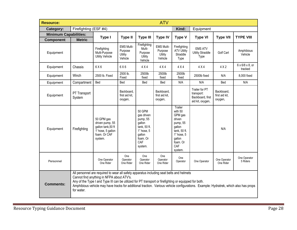| <b>Resource:</b>             |                        |                                                                                                                                                                                                                                                                                                                                                                                        |                                             |                                                                                                                  | <b>ATV</b>                                         |                                                                                                                                     |                                                                      |                                         |                                         |
|------------------------------|------------------------|----------------------------------------------------------------------------------------------------------------------------------------------------------------------------------------------------------------------------------------------------------------------------------------------------------------------------------------------------------------------------------------|---------------------------------------------|------------------------------------------------------------------------------------------------------------------|----------------------------------------------------|-------------------------------------------------------------------------------------------------------------------------------------|----------------------------------------------------------------------|-----------------------------------------|-----------------------------------------|
| Category:                    | Firefighting (ESF #4)  |                                                                                                                                                                                                                                                                                                                                                                                        |                                             |                                                                                                                  |                                                    | Kind:                                                                                                                               | Equipment                                                            |                                         |                                         |
| <b>Minimum Capabilities:</b> |                        | Type I                                                                                                                                                                                                                                                                                                                                                                                 | <b>Type II</b>                              | <b>Type III</b>                                                                                                  | <b>Type IV</b>                                     | <b>Type V</b>                                                                                                                       | <b>Type VI</b>                                                       | <b>Type VII</b>                         | <b>TYPE VIII</b>                        |
| <b>Component</b>             | <b>Metric</b>          |                                                                                                                                                                                                                                                                                                                                                                                        |                                             |                                                                                                                  |                                                    |                                                                                                                                     |                                                                      |                                         |                                         |
| Equipment                    |                        | Firefighting<br>Multi-Purpose<br><b>Utility Vehicle</b>                                                                                                                                                                                                                                                                                                                                | EMS Multi-<br>Purpose<br>Utility<br>Vehicle | Firefighting<br>Multi-<br>Purpose<br>Utility<br>Vehicle                                                          | <b>EMS Multi-</b><br>Purpose<br>Utility<br>Vehicle | Firefighting<br><b>ATV Utility</b><br>Straddle<br>Type                                                                              | <b>EMS ATV</b><br><b>Utility Straddle</b><br>Type                    | Golf Cart                               | Amphibious<br>Vehicle                   |
| Equipment                    | Chassis                | 6X6                                                                                                                                                                                                                                                                                                                                                                                    | 6X6                                         | 4 X 4                                                                                                            | 4 X 4                                              | 4 X 4                                                                                                                               | 4 X 4                                                                | 4 X 2                                   | $6 \times 6/8 \times 8$ , or<br>tracked |
| Equipment                    | Winch                  | 2500 lb. Fixed                                                                                                                                                                                                                                                                                                                                                                         | 2500 lb.<br>Fixed                           | 2500lb<br>fixed                                                                                                  | 2500lb<br>fixed                                    | 2500lb<br>fixed                                                                                                                     | 2500lb fixed                                                         | N/A                                     | 8,000 fixed                             |
| Equipment                    | Compartment            | Bed                                                                                                                                                                                                                                                                                                                                                                                    | Bed                                         | Bed                                                                                                              | Bed                                                | N/A                                                                                                                                 | N/A                                                                  | Bed                                     | N/A                                     |
| Equipment                    | PT Transport<br>System |                                                                                                                                                                                                                                                                                                                                                                                        | Backboard,<br>first aid kit,<br>oxygen,     |                                                                                                                  | Backboard,<br>first aid kit,<br>oxygen,            |                                                                                                                                     | Trailer for PT<br>transport:<br>Backboard, first<br>aid kit, oxygen, | Backboard,<br>first aid kit,<br>oxygen, |                                         |
| Equipment                    | Firefighting           | 50 GPM gas<br>driven pump, 55<br>gallon tank, 50 ft<br>1' hose, 5 gallon<br>foam. Or CAF<br>system.                                                                                                                                                                                                                                                                                    |                                             | 50 GPM<br>gas driven<br>pump, 55<br>gallon<br>tank, 50 ft.<br>1" hose, 5<br>gallon<br>foam. Or<br>CAF<br>system. |                                                    | Trailer<br>with 50<br>GPM gas<br>driven<br>pump, 55<br>gallon<br>tank, 50 ft.<br>1" hose, 5<br>gallon<br>foam. Or<br>CAF<br>system. |                                                                      | N/A                                     |                                         |
| Personnel                    |                        | One Operator<br>One Rider                                                                                                                                                                                                                                                                                                                                                              | One<br>Operator<br>One Rider                | One<br>Operator<br>One Rider                                                                                     | One<br>Operator<br>One Rider                       | One<br>Operator                                                                                                                     | One Operator                                                         | One Operator<br>One Rider               | One Operator<br>5 Riders                |
| <b>Comments:</b>             | for water.             | All personnel are required to wear all safety apparatus including seat belts and helmets<br>Cannot find anything in NFPA about ATV's.<br>Any of the Type I and Type III can be utilized for PT transport or firefighting or equipped for both.<br>Amphibious vehicle may have tracks for additional traction. Various vehicle configurations. Example: Hydratrek, which also has props |                                             |                                                                                                                  |                                                    |                                                                                                                                     |                                                                      |                                         |                                         |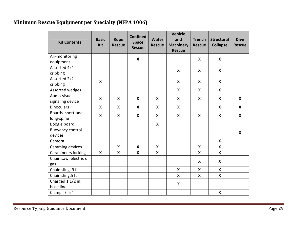# **Minimum Rescue Equipment per Specialty (NFPA 1006)**

| <b>Kit Contents</b>     | <b>Basic</b><br><b>Kit</b> | Rope<br><b>Rescue</b>     | <b>Confined</b><br><b>Space</b><br><b>Rescue</b> | <b>Water</b><br><b>Rescue</b> | <b>Vehicle</b><br>and<br><b>Machinery</b><br><b>Rescue</b> | <b>Trench</b><br><b>Rescue</b> | <b>Structural</b><br><b>Collapse</b> | <b>Dive</b><br><b>Rescue</b> |
|-------------------------|----------------------------|---------------------------|--------------------------------------------------|-------------------------------|------------------------------------------------------------|--------------------------------|--------------------------------------|------------------------------|
| Air-monitoring          |                            |                           | $\boldsymbol{\mathsf{x}}$                        |                               |                                                            | X                              | $\boldsymbol{\mathsf{X}}$            |                              |
| equipment               |                            |                           |                                                  |                               |                                                            |                                |                                      |                              |
| Assorted 4x4            |                            |                           |                                                  |                               | $\boldsymbol{\mathsf{X}}$                                  | X                              | $\boldsymbol{X}$                     |                              |
| cribbing                |                            |                           |                                                  |                               |                                                            |                                |                                      |                              |
| Assorted 2x2            | $\boldsymbol{\mathsf{X}}$  |                           |                                                  |                               | $\boldsymbol{\mathsf{X}}$                                  | X                              | X                                    |                              |
| cribbing                |                            |                           |                                                  |                               |                                                            |                                |                                      |                              |
| Assorted wedges         |                            |                           |                                                  |                               | $\boldsymbol{x}$                                           | X                              | $\boldsymbol{\mathsf{X}}$            |                              |
| Audio-visual            | $\boldsymbol{\mathsf{X}}$  | $\boldsymbol{\mathsf{X}}$ | $\boldsymbol{\mathsf{x}}$                        | $\boldsymbol{\mathsf{X}}$     | $\boldsymbol{\mathsf{x}}$                                  | X                              | X                                    | $\boldsymbol{X}$             |
| signaling device        |                            |                           |                                                  |                               |                                                            |                                |                                      |                              |
| <b>Binoculars</b>       | $\boldsymbol{\mathsf{X}}$  | X                         | $\boldsymbol{\mathsf{X}}$                        | $\boldsymbol{\mathsf{X}}$     | X                                                          |                                | $\boldsymbol{\mathsf{X}}$            | $\boldsymbol{X}$             |
| Boards, short-and       | X                          | X                         | $\boldsymbol{\mathsf{X}}$                        | X                             | $\boldsymbol{\mathsf{X}}$                                  | X                              | X                                    | X                            |
| long-spine              |                            |                           |                                                  |                               |                                                            |                                |                                      |                              |
| Boogie board            |                            |                           |                                                  | $\boldsymbol{\mathsf{X}}$     |                                                            |                                |                                      |                              |
| <b>Buoyancy control</b> |                            |                           |                                                  |                               |                                                            |                                |                                      | $\boldsymbol{\mathsf{X}}$    |
| devices                 |                            |                           |                                                  |                               |                                                            |                                |                                      |                              |
| Camera                  |                            |                           |                                                  |                               |                                                            |                                | X                                    |                              |
| Camming devices         |                            | $\boldsymbol{\mathsf{x}}$ | $\boldsymbol{\mathsf{x}}$                        | $\boldsymbol{\mathsf{X}}$     |                                                            | $\boldsymbol{\mathsf{x}}$      | $\boldsymbol{x}$                     |                              |
| Carabineers locking     | $\boldsymbol{X}$           | X                         | $\boldsymbol{\mathsf{X}}$                        | X                             |                                                            | X                              | $\boldsymbol{\mathsf{X}}$            |                              |
| Chain saw, electric or  |                            |                           |                                                  |                               |                                                            | X                              | X                                    |                              |
| gas                     |                            |                           |                                                  |                               |                                                            |                                |                                      |                              |
| Chain sling, 9 ft       |                            |                           |                                                  |                               | $\boldsymbol{\mathsf{X}}$                                  | X                              | X                                    |                              |
| Chain sling, 5 ft       |                            |                           |                                                  |                               | X                                                          | X                              | $\boldsymbol{\mathsf{x}}$            |                              |
| Charged 1 1/2 in.       |                            |                           |                                                  |                               | X                                                          |                                |                                      |                              |
| hose line               |                            |                           |                                                  |                               |                                                            |                                |                                      |                              |
| Clamp "Ellis"           |                            |                           |                                                  |                               |                                                            |                                | X                                    |                              |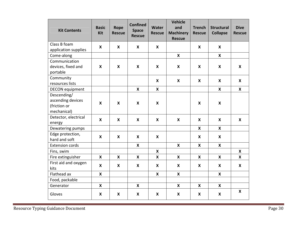| <b>Kit Contents</b>    | <b>Basic</b><br><b>Kit</b> | Rope<br><b>Rescue</b>     | <b>Confined</b><br><b>Space</b><br><b>Rescue</b> | <b>Water</b><br><b>Rescue</b> | <b>Vehicle</b><br>and<br><b>Machinery</b><br><b>Rescue</b> | <b>Trench</b><br><b>Rescue</b> | <b>Structural</b><br><b>Collapse</b> | <b>Dive</b><br><b>Rescue</b> |
|------------------------|----------------------------|---------------------------|--------------------------------------------------|-------------------------------|------------------------------------------------------------|--------------------------------|--------------------------------------|------------------------------|
| Class B foam           | X                          | $\boldsymbol{\mathsf{X}}$ | X                                                | X                             |                                                            | $\boldsymbol{X}$               | $\boldsymbol{X}$                     |                              |
| application supplies   |                            |                           |                                                  |                               |                                                            |                                |                                      |                              |
| Come-along             |                            |                           |                                                  |                               | $\boldsymbol{\mathsf{X}}$                                  |                                | $\boldsymbol{\mathsf{X}}$            |                              |
| Communication          |                            |                           |                                                  |                               |                                                            |                                |                                      |                              |
| devices, fixed and     | X                          | $\boldsymbol{\mathsf{x}}$ | $\boldsymbol{\mathsf{X}}$                        | $\boldsymbol{\mathsf{X}}$     | $\boldsymbol{\mathsf{X}}$                                  | X                              | $\boldsymbol{\mathsf{X}}$            | $\boldsymbol{\mathsf{x}}$    |
| portable               |                            |                           |                                                  |                               |                                                            |                                |                                      |                              |
| Community              |                            |                           |                                                  | $\boldsymbol{\mathsf{X}}$     | $\boldsymbol{\mathsf{X}}$                                  | X                              | X                                    | $\boldsymbol{X}$             |
| resources lists        |                            |                           |                                                  |                               |                                                            |                                |                                      |                              |
| <b>DECON</b> equipment |                            |                           | $\boldsymbol{\mathsf{X}}$                        | $\boldsymbol{\mathsf{X}}$     |                                                            |                                | $\boldsymbol{\mathsf{x}}$            | $\boldsymbol{\mathsf{x}}$    |
| Descending/            |                            |                           |                                                  |                               |                                                            |                                |                                      |                              |
| ascending devices      | X                          | X                         | X                                                | $\boldsymbol{\mathsf{X}}$     |                                                            | X                              | X                                    |                              |
| (friction or           |                            |                           |                                                  |                               |                                                            |                                |                                      |                              |
| mechanical)            |                            |                           |                                                  |                               |                                                            |                                |                                      |                              |
| Detector, electrical   | X                          | X                         | X                                                | X                             | X                                                          | X                              | X                                    | X                            |
| energy                 |                            |                           |                                                  |                               |                                                            |                                |                                      |                              |
| Dewatering pumps       |                            |                           |                                                  |                               |                                                            | $\boldsymbol{\mathsf{x}}$      | $\boldsymbol{\mathsf{x}}$            |                              |
| Edge protection,       | X                          | X                         | X                                                | X                             |                                                            | X                              | X                                    |                              |
| hard and soft          |                            |                           |                                                  |                               |                                                            |                                |                                      |                              |
| <b>Extension cords</b> |                            |                           | $\boldsymbol{\mathsf{X}}$                        |                               | $\boldsymbol{\mathsf{x}}$                                  | $\boldsymbol{\mathsf{x}}$      | $\boldsymbol{\mathsf{x}}$            |                              |
| Fins, swim             |                            |                           |                                                  | X                             |                                                            |                                |                                      | X                            |
| Fire extinguisher      | $\mathbf{x}$               | X                         | $\mathsf{x}$                                     | $\boldsymbol{\mathsf{X}}$     | $\boldsymbol{\mathsf{X}}$                                  | X                              | $\boldsymbol{\mathsf{X}}$            | $\boldsymbol{\mathsf{X}}$    |
| First aid and oxygen   | X                          | X                         | $\boldsymbol{\mathsf{X}}$                        | $\boldsymbol{\mathsf{X}}$     | $\boldsymbol{\mathsf{X}}$                                  | X                              | $\boldsymbol{\mathsf{X}}$            | $\boldsymbol{\mathsf{X}}$    |
| kits                   |                            |                           |                                                  |                               |                                                            |                                |                                      |                              |
| Flathead ax            | X                          |                           |                                                  | X                             | X                                                          |                                | $\boldsymbol{X}$                     |                              |
| Food, packable         |                            |                           |                                                  |                               |                                                            |                                |                                      |                              |
| Generator              | X                          |                           | X                                                |                               | $\boldsymbol{\mathsf{X}}$                                  | X                              | $\boldsymbol{\mathsf{x}}$            |                              |
| Gloves                 | X                          | $\pmb{\mathsf{X}}$        | X                                                | X                             | X                                                          | X                              | X                                    | $\boldsymbol{\mathsf{X}}$    |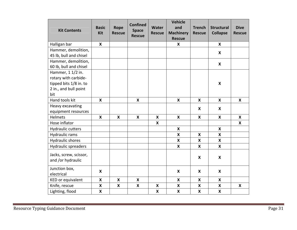| <b>Kit Contents</b>                                    | <b>Basic</b><br><b>Kit</b> | Rope<br><b>Rescue</b> | <b>Confined</b><br><b>Space</b><br><b>Rescue</b> | <b>Water</b><br><b>Rescue</b> | <b>Vehicle</b><br>and<br><b>Machinery</b><br><b>Rescue</b> | <b>Trench</b><br><b>Rescue</b> | <b>Structural</b><br><b>Collapse</b> | <b>Dive</b><br><b>Rescue</b> |
|--------------------------------------------------------|----------------------------|-----------------------|--------------------------------------------------|-------------------------------|------------------------------------------------------------|--------------------------------|--------------------------------------|------------------------------|
| Halligan bar                                           | X                          |                       |                                                  |                               | X                                                          |                                | X                                    |                              |
| Hammer, demolition,<br>45 lb, bull and chisel          |                            |                       |                                                  |                               |                                                            |                                | X                                    |                              |
| Hammer, demolition,<br>60 lb, bull and chisel          |                            |                       |                                                  |                               |                                                            |                                | X                                    |                              |
| Hammer, 1 1/2 in.<br>rotary with carbide-              |                            |                       |                                                  |                               |                                                            |                                |                                      |                              |
| tipped bits 1/8 in. to<br>2 in., and bull point<br>bit |                            |                       |                                                  |                               |                                                            |                                | X                                    |                              |
| Hand tools kit                                         | $\boldsymbol{\mathsf{x}}$  |                       | $\boldsymbol{\mathsf{x}}$                        |                               | $\boldsymbol{\mathsf{x}}$                                  | $\boldsymbol{\mathsf{x}}$      | $\boldsymbol{\mathsf{x}}$            | $\boldsymbol{\mathsf{x}}$    |
| Heavy excavating<br>equipment resources                |                            |                       |                                                  |                               |                                                            | X                              | X                                    |                              |
| Helmets                                                | $\boldsymbol{\mathsf{x}}$  | X                     | $\boldsymbol{\mathsf{x}}$                        | $\boldsymbol{\mathsf{x}}$     | $\boldsymbol{\mathsf{x}}$                                  | X                              | $\boldsymbol{\mathsf{x}}$            | $\mathbf{x}$                 |
| Hose inflator                                          |                            |                       |                                                  | $\boldsymbol{\mathsf{X}}$     |                                                            |                                |                                      | X                            |
| <b>Hydraulic cutters</b>                               |                            |                       |                                                  |                               | $\boldsymbol{\mathsf{x}}$                                  |                                | $\boldsymbol{\mathsf{x}}$            |                              |
| Hydraulic rams                                         |                            |                       |                                                  |                               | X                                                          | X                              | X                                    |                              |
| <b>Hydraulic shores</b>                                |                            |                       |                                                  |                               | $\boldsymbol{\mathsf{x}}$                                  | X                              | $\boldsymbol{\mathsf{x}}$            |                              |
| Hydraulic spreaders                                    |                            |                       |                                                  |                               | $\boldsymbol{\mathsf{x}}$                                  | X                              | X                                    |                              |
| Jacks, screw, scissor,<br>and /or hydraulic            |                            |                       |                                                  |                               |                                                            | X                              | X                                    |                              |
| Junction box,<br>electrical                            | X                          |                       |                                                  |                               | $\boldsymbol{\mathsf{x}}$                                  | X                              | X                                    |                              |
| KED or equivalent                                      | $\boldsymbol{\mathsf{x}}$  | X                     | $\boldsymbol{\mathsf{X}}$                        |                               | X                                                          | $\boldsymbol{\mathsf{X}}$      | X                                    |                              |
| Knife, rescue                                          | X                          | X                     | X                                                | X                             | X                                                          | X                              | $\boldsymbol{\mathsf{X}}$            | X                            |
| Lighting, flood                                        | X                          |                       |                                                  | X                             | X                                                          | X                              | X                                    |                              |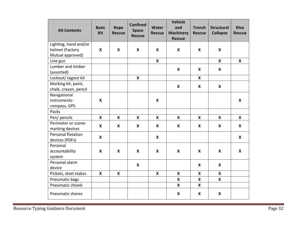| <b>Kit Contents</b>   | <b>Basic</b><br><b>Kit</b> | Rope<br><b>Rescue</b> | <b>Confined</b><br><b>Space</b><br><b>Rescue</b> | <b>Water</b><br><b>Rescue</b> | <b>Vehicle</b><br>and<br><b>Machinery</b><br><b>Rescue</b> | <b>Trench</b><br><b>Rescue</b> | <b>Structural</b><br><b>Collapse</b> | <b>Dive</b><br><b>Rescue</b> |
|-----------------------|----------------------------|-----------------------|--------------------------------------------------|-------------------------------|------------------------------------------------------------|--------------------------------|--------------------------------------|------------------------------|
| Lighting, hand and/or |                            |                       |                                                  |                               |                                                            |                                |                                      |                              |
| helmet (Factory       | X                          | X                     | $\boldsymbol{\mathsf{X}}$                        | $\boldsymbol{\mathsf{X}}$     | X                                                          | X                              | $\boldsymbol{\mathsf{X}}$            |                              |
| Mutual approved)      |                            |                       |                                                  |                               |                                                            |                                |                                      |                              |
| Line gun              |                            |                       |                                                  | $\boldsymbol{\mathsf{x}}$     |                                                            |                                | $\boldsymbol{\mathsf{X}}$            | $\boldsymbol{\mathsf{X}}$    |
| Lumber and timber     |                            |                       |                                                  |                               | X                                                          | X                              | X                                    |                              |
| (assorted)            |                            |                       |                                                  |                               |                                                            |                                |                                      |                              |
| Lockout/ tagout kit   |                            |                       | $\boldsymbol{\mathsf{X}}$                        |                               |                                                            | X                              |                                      |                              |
| Marking kit, paint,   |                            |                       |                                                  |                               | $\pmb{\mathsf{X}}$                                         | $\boldsymbol{\mathsf{x}}$      | $\boldsymbol{\mathsf{x}}$            |                              |
| chalk, crayon, pencil |                            |                       |                                                  |                               |                                                            |                                |                                      |                              |
| Navigational          |                            |                       |                                                  |                               |                                                            |                                |                                      |                              |
| instruments-          | $\boldsymbol{\mathsf{x}}$  |                       |                                                  | X                             |                                                            |                                |                                      | $\boldsymbol{\mathsf{X}}$    |
| compass, GPS          |                            |                       |                                                  |                               |                                                            |                                |                                      |                              |
| Packs                 |                            |                       |                                                  |                               |                                                            |                                |                                      |                              |
| Pen/ pencils          | $\boldsymbol{\mathsf{X}}$  | X                     | X                                                | X                             | X                                                          | X                              | $\boldsymbol{\mathsf{X}}$            | $\mathsf{x}$                 |
| Perimeter or scene-   | X                          | X                     | $\boldsymbol{\mathsf{X}}$                        | X                             | $\boldsymbol{\mathsf{x}}$                                  | X                              | X                                    | X                            |
| marking devices       |                            |                       |                                                  |                               |                                                            |                                |                                      |                              |
| Personal flotation    | X                          |                       |                                                  | X                             |                                                            |                                |                                      | $\mathbf{x}$                 |
| devices (PDFs)        |                            |                       |                                                  |                               |                                                            |                                |                                      |                              |
| Personal              |                            |                       |                                                  |                               |                                                            |                                |                                      |                              |
| accountability        | X                          | X                     | X                                                | X                             | X                                                          | $\boldsymbol{\mathsf{X}}$      | X                                    | $\boldsymbol{\mathsf{X}}$    |
| system                |                            |                       |                                                  |                               |                                                            |                                |                                      |                              |
| Personal alarm        |                            |                       | $\boldsymbol{\mathsf{X}}$                        |                               |                                                            | X                              | X                                    |                              |
| device                |                            |                       |                                                  |                               |                                                            |                                |                                      |                              |
| Pickets, steel stakes | $\boldsymbol{\mathsf{X}}$  | X                     |                                                  | X                             | X                                                          | X                              | X                                    |                              |
| Pneumatic bags        |                            |                       |                                                  |                               | X                                                          | X                              | X                                    |                              |
| Pneumatic chisels     |                            |                       |                                                  |                               | X                                                          | $\boldsymbol{\mathsf{X}}$      |                                      |                              |
| Pneumatic shores      |                            |                       |                                                  |                               | X                                                          | X                              | $\boldsymbol{\mathsf{x}}$            |                              |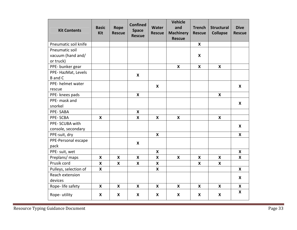| <b>Kit Contents</b>                              | <b>Basic</b><br><b>Kit</b> | Rope<br><b>Rescue</b>     | <b>Confined</b><br><b>Space</b><br><b>Rescue</b> | Water<br><b>Rescue</b>    | <b>Vehicle</b><br>and<br><b>Machinery</b><br><b>Rescue</b> | <b>Trench</b><br><b>Rescue</b> | <b>Structural</b><br><b>Collapse</b> | <b>Dive</b><br><b>Rescue</b> |
|--------------------------------------------------|----------------------------|---------------------------|--------------------------------------------------|---------------------------|------------------------------------------------------------|--------------------------------|--------------------------------------|------------------------------|
| Pneumatic soil knife                             |                            |                           |                                                  |                           |                                                            | X                              |                                      |                              |
| Pneumatic soil<br>vacuum (hand and/<br>or truck) |                            |                           |                                                  |                           |                                                            | X                              |                                      |                              |
| PPE- bunker gear                                 |                            |                           |                                                  |                           | $\boldsymbol{\mathsf{X}}$                                  | $\mathbf{x}$                   | $\boldsymbol{\mathsf{X}}$            |                              |
| PPE-HazMat, Levels<br><b>B</b> and C             |                            |                           | $\boldsymbol{X}$                                 |                           |                                                            |                                |                                      |                              |
| PPE- helmet water<br>rescue                      |                            |                           |                                                  | $\boldsymbol{\mathsf{X}}$ |                                                            |                                |                                      | $\boldsymbol{\mathsf{X}}$    |
| PPE- knees pads                                  |                            |                           | X                                                |                           |                                                            |                                | X                                    |                              |
| PPE- mask and<br>snorkel                         |                            |                           |                                                  |                           |                                                            |                                |                                      | $\boldsymbol{\mathsf{X}}$    |
| PPE-SABA                                         |                            |                           | X                                                |                           |                                                            |                                |                                      |                              |
| PPE-SCBA                                         | $\boldsymbol{\mathsf{x}}$  |                           | X                                                | $\boldsymbol{\mathsf{X}}$ | $\boldsymbol{\mathsf{X}}$                                  |                                | $\boldsymbol{\mathsf{x}}$            |                              |
| PPE-SCUBA with<br>console, secondary             |                            |                           |                                                  |                           |                                                            |                                |                                      | $\boldsymbol{\mathsf{X}}$    |
| PPE-suit, dry                                    |                            |                           |                                                  | $\boldsymbol{\mathsf{X}}$ |                                                            |                                |                                      | X                            |
| PPE-Personal escape<br>pack                      |                            |                           | $\boldsymbol{\mathsf{x}}$                        |                           |                                                            |                                |                                      |                              |
| PPE- suit, wet                                   |                            |                           |                                                  | $\boldsymbol{\mathsf{X}}$ |                                                            |                                |                                      | $\boldsymbol{\mathsf{X}}$    |
| Preplans/ maps                                   | $\boldsymbol{\mathsf{X}}$  | $\boldsymbol{\mathsf{X}}$ | X                                                | $\boldsymbol{\mathsf{x}}$ | $\boldsymbol{\mathsf{X}}$                                  | $\mathbf{x}$                   | $\boldsymbol{\mathsf{X}}$            | $\boldsymbol{\mathsf{x}}$    |
| Prusik cord                                      | X                          | X                         | X                                                | X                         |                                                            | X                              | X                                    |                              |
| Pulleys, selection of                            | $\boldsymbol{\mathsf{x}}$  |                           |                                                  | $\boldsymbol{\mathsf{x}}$ |                                                            |                                |                                      | $\boldsymbol{X}$             |
| Reach extension<br>devices                       |                            |                           |                                                  |                           |                                                            |                                |                                      | X                            |
| Rope- life safety                                | $\boldsymbol{\mathsf{x}}$  | X                         | X                                                | $\boldsymbol{\mathsf{X}}$ | X                                                          | X                              | X                                    | $\boldsymbol{\mathsf{X}}$    |
| Rope-utility                                     | X                          | X                         | X                                                | X                         | $\boldsymbol{\mathsf{X}}$                                  | X                              | X                                    | $\boldsymbol{\mathsf{X}}$    |

Resource Typing Guidance Document **Page 33**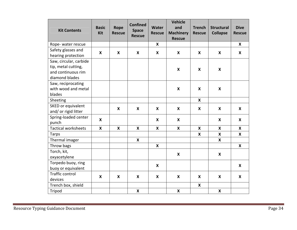| <b>Kit Contents</b>                                                                   | <b>Basic</b><br>Kit       | Rope<br><b>Rescue</b>     | <b>Confined</b><br><b>Space</b><br><b>Rescue</b> | <b>Water</b><br><b>Rescue</b> | <b>Vehicle</b><br>and<br><b>Machinery</b><br><b>Rescue</b> | <b>Trench</b><br><b>Rescue</b> | <b>Structural</b><br><b>Collapse</b> | <b>Dive</b><br><b>Rescue</b> |
|---------------------------------------------------------------------------------------|---------------------------|---------------------------|--------------------------------------------------|-------------------------------|------------------------------------------------------------|--------------------------------|--------------------------------------|------------------------------|
| Rope-water rescue                                                                     |                           |                           |                                                  | $\boldsymbol{\mathsf{X}}$     |                                                            |                                |                                      | $\mathsf{x}$                 |
| Safety glasses and<br>hearing protection                                              | X                         | X                         | $\boldsymbol{\mathsf{x}}$                        | X                             | $\boldsymbol{\mathsf{X}}$                                  | X                              | X                                    | $\boldsymbol{X}$             |
| Saw, circular, carbide<br>tip, metal cutting,<br>and continuous rim<br>diamond blades |                           |                           |                                                  |                               | $\boldsymbol{\mathsf{X}}$                                  | $\boldsymbol{\mathsf{X}}$      | $\boldsymbol{\mathsf{X}}$            |                              |
| Saw, reciprocating<br>with wood and metal<br>blades                                   |                           |                           |                                                  |                               | $\boldsymbol{\mathsf{x}}$                                  | X                              | X                                    |                              |
| Sheeting                                                                              |                           |                           |                                                  |                               |                                                            | X                              |                                      |                              |
| SKED or equivalent<br>and/ or rigid litter                                            |                           | X                         | X                                                | X                             | X                                                          | X                              | X                                    | X                            |
| Spring-loaded center<br>punch                                                         | X                         |                           |                                                  | X                             | X                                                          |                                | $\boldsymbol{\mathsf{X}}$            | X                            |
| <b>Tactical worksheets</b>                                                            | $\boldsymbol{\mathsf{x}}$ | $\boldsymbol{\mathsf{X}}$ | $\boldsymbol{\mathsf{x}}$                        | $\boldsymbol{\mathsf{x}}$     | $\boldsymbol{\mathsf{x}}$                                  | $\boldsymbol{\mathsf{x}}$      | $\boldsymbol{\mathsf{x}}$            | $\boldsymbol{\mathsf{X}}$    |
| <b>Tarps</b>                                                                          |                           |                           |                                                  |                               |                                                            | X                              | X                                    | $\boldsymbol{\mathsf{x}}$    |
| Thermal imager                                                                        |                           |                           | $\boldsymbol{\mathsf{X}}$                        |                               |                                                            |                                | $\boldsymbol{\mathsf{x}}$            |                              |
| Throw bags                                                                            |                           |                           |                                                  | X                             |                                                            |                                |                                      | X                            |
| Torch, kit,<br>oxyacetylene                                                           |                           |                           |                                                  |                               | $\boldsymbol{\mathsf{x}}$                                  |                                | $\boldsymbol{\mathsf{X}}$            |                              |
| Torpedo buoy, ring<br>buoy or equivalent                                              |                           |                           |                                                  | X                             |                                                            |                                |                                      | X                            |
| <b>Traffic control</b><br>devices                                                     | X                         | X                         | X                                                | X                             | $\boldsymbol{\mathsf{X}}$                                  | X                              | X                                    | $\boldsymbol{\mathsf{X}}$    |
| Trench box, shield                                                                    |                           |                           |                                                  |                               |                                                            | $\boldsymbol{\mathsf{x}}$      |                                      |                              |
| Tripod                                                                                |                           |                           | $\boldsymbol{\mathsf{x}}$                        |                               | X                                                          |                                | $\pmb{\times}$                       |                              |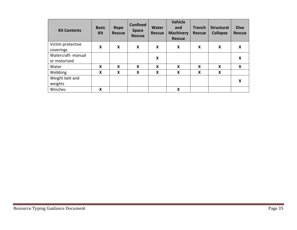| <b>Kit Contents</b> | <b>Basic</b><br><b>Kit</b> | <b>Rope</b><br><b>Rescue</b> | <b>Confined</b><br><b>Space</b><br><b>Rescue</b> | Water<br><b>Rescue</b> | <b>Vehicle</b><br>and<br><b>Machinery</b><br><b>Rescue</b> | <b>Trench</b><br><b>Rescue</b> | <b>Structural</b><br><b>Collapse</b> | <b>Dive</b><br><b>Rescue</b> |
|---------------------|----------------------------|------------------------------|--------------------------------------------------|------------------------|------------------------------------------------------------|--------------------------------|--------------------------------------|------------------------------|
| Victim protective   | X                          | X                            | X                                                | X                      | X                                                          | X                              | X                                    | X                            |
| coverings           |                            |                              |                                                  |                        |                                                            |                                |                                      |                              |
| Watercraft- manual  |                            |                              |                                                  | X                      |                                                            |                                |                                      | X                            |
| or motorized        |                            |                              |                                                  |                        |                                                            |                                |                                      |                              |
| Water               | X                          | X                            | X                                                | X                      | X                                                          | X                              | X                                    | X                            |
| Webbing             | X                          | X                            | X                                                | X                      | X                                                          | X                              | X                                    |                              |
| Weight belt and     |                            |                              |                                                  |                        |                                                            |                                |                                      | X                            |
| weights             |                            |                              |                                                  |                        |                                                            |                                |                                      |                              |
| Winches             | X                          |                              |                                                  |                        | X                                                          |                                |                                      |                              |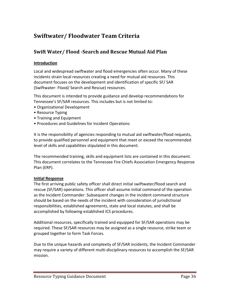# **Swiftwater/ Floodwater Team Criteria**

# **Swift Water/ Flood ‐Search and Rescue Mutual Aid Plan**

# **Introduction**

Local and widespread swiftwater and flood emergencies often occur. Many of these incidents strain local resources creating a need for mutual aid resources. This document focuses on the development and identification of specific SF/ SAR (Swiftwater‐ Flood/ Search and Rescue) resources.

This document is intended to provide guidance and develop recommendations for Tennessee's SF/SAR resources. This includes but is not limited to:

- Organizational Development
- Resource Typing
- Training and Equipment
- Procedures and Guidelines for Incident Operations

It is the responsibility of agencies responding to mutual aid swiftwater/flood requests, to provide qualified personnel and equipment that meet or exceed the recommended level of skills and capabilities stipulated in this document.

The recommended training, skills and equipment lists are contained in this document. This document correlates to the Tennessee Fire Chiefs Association Emergency Response Plan (ERP).

# **Initial Response**

The first arriving public safety officer shall direct initial swiftwater/flood search and rescue (SF/SAR) operations. This officer shall assume initial command of the operation as the Incident Commander. Subsequent changes in the incident command structure should be based on the needs of the incident with consideration of jurisdictional responsibilities, established agreements, state and local statutes, and shall be accomplished by following established ICS procedures.

Additional resources, specifically trained and equipped for SF/SAR operations may be required. These SF/SAR resources may be assigned as a single resource, strike team or grouped together to form Task Forces.

Due to the unique hazards and complexity of SF/SAR incidents, the Incident Commander may require a variety of different multi‐disciplinary resources to accomplish the SF/SAR mission.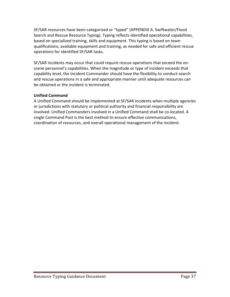SF/SAR resources have been categorized or "typed" (APPENDIX A. Swiftwater/Flood Search and Rescue Resource Typing). Typing reflects identified operational capabilities, based on specialized training, skills and equipment. This typing is based on team qualifications, available equipment and training, as needed for safe and efficient rescue operations for identified SF/SAR tasks.

SF/SAR incidents may occur that could require rescue operations that exceed the on‐ scene personnel's capabilities. When the magnitude or type of incident exceeds that capability level, the Incident Commander should have the flexibility to conduct search and rescue operations in a safe and appropriate manner until adequate resources can be obtained or the incident is terminated.

# **Unified Command**

A Unified Command should be implemented at SF/SAR incidents when multiple agencies or jurisdictions with statutory or political authority and financial responsibility are involved. Unified Commanders involved in a Unified Command shall be co‐located. A single Command Post is the best method to ensure effective communications, coordination of resources, and overall operational management of the incident.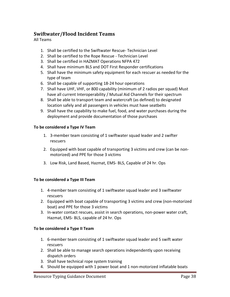# **Swiftwater/Flood Incident Teams**

All Teams

- 1. Shall be certified to the Swiftwater Rescue‐ Technician Level
- 2. Shall be certified to the Rope Rescue ‐ Technician Level
- 3. Shall be certified in HAZMAT Operations NFPA 472
- 4. Shall have minimum BLS and DOT First Responder certifications
- 5. Shall have the minimum safety equipment for each rescuer as needed for the type of team
- 6. Shall be capable of supporting 18‐24 hour operations
- 7. Shall have UHF, VHF, or 800 capability (minimum of 2 radios per squad) Must have all current Interoperability / Mutual Aid Channels for their spectrum
- 8. Shall be able to transport team and watercraft (as defined) to designated location safely and all passengers in vehicles must have seatbelts
- 9. Shall have the capability to make fuel, food, and water purchases during the deployment and provide documentation of those purchases

# **To be considered a Type IV Team**

- 1. 3‐member team consisting of 1 swiftwater squad leader and 2 swifter rescuers
- 2. Equipped with boat capable of transporting 3 victims and crew (can be non‐ motorized) and PPE for those 3 victims
- 3. Low Risk, Land Based, Hazmat, EMS‐ BLS, Capable of 24 hr. Ops

# **To be considered a Type III Team**

- 1. 4‐member team consisting of 1 swiftwater squad leader and 3 swiftwater rescuers
- 2. Equipped with boat capable of transporting 3 victims and crew (non‐motorized boat) and PPE for those 3 victims
- 3. In‐water contact rescues, assist in search operations, non‐power water craft, Hazmat, EMS‐ BLS, capable of 24 hr. Ops

# **To be considered a Type II Team**

- 1. 6‐member team consisting of 1 swiftwater squad leader and 5 swift water rescuers
- 2. Shall be able to manage search operations independently upon receiving dispatch orders
- 3. Shall have technical rope system training
- 4. Should be equipped with 1 power boat and 1 non-motorized inflatable boats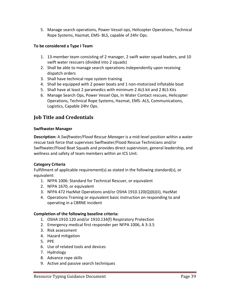5. Manage search operations, Power Vessel ops, Helicopter Operations, Technical Rope Systems, Hazmat, EMS‐ BLS, capable of 24hr Ops.

# **To be considered a Type I Team**

- 1. 13-member team consisting of 2 manager, 2 swift water squad leaders, and 10 swift water rescuers (divided into 2 squads)
- 2. Shall be able to manage search operations independently upon receiving dispatch orders
- 3. Shall have technical rope system training
- 4. Shall be equipped with 2 power boats and 1 non‐motorized inflatable boat
- 5. Shall have at least 2 paramedics with minimum 2 ALS kit and 2 BLS Kits
- 6. Manage Search Ops, Power Vessel Ops, In Water Contact rescues, Helicopter Operations, Technical Rope Systems, Hazmat, EMS‐ ALS, Communications, Logistics, Capable 24hr Ops.

# **Job Title and Credentials**

#### **Swiftwater Manager**

**Description:** A *Swiftwater/Flood Rescue Manager* is a mid‐level position within a water rescue task force that supervises Swiftwater/Flood Rescue Technicians and/or Swiftwater/Flood Boat Squads and provides direct supervision, general leadership, and wellness and safety of team members within an ICS Unit.

# **Category Criteria**

Fulfillment of applicable requirement(s) as stated in the following standard(s), or equivalent:

- 1. NFPA 1006: Standard for Technical Rescuer, or equivalent
- 2. NFPA 1670, or equivalent
- 3. NFPA 472 HazMat Operations and/or OSHA 1910.120(Q)(6)(ii), HazMat
- 4. Operations Training or equivalent basic instruction on responding to and operating in a CBRNE incident

- 1. OSHA 1910.120 and/or 1910.134(f) Respiratory Protection
- 2. Emergency medical first responder per NFPA 1006, A 3‐3.5
- 3. Risk assessment
- 4. Hazard mitigation
- 5. PPE
- 6. Use of related tools and devices
- 7. Hydrology
- 8. Advance rope skills
- 9. Active and passive search techniques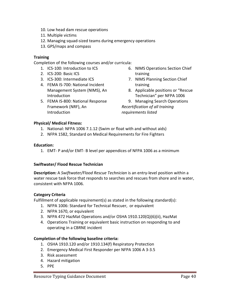- 10. Low head dam rescue operations
- 11. Multiple victims
- 12. Managing squad‐sized teams during emergency operations
- 13. GPS/maps and compass

Completion of the following courses and/or curricula:

- 1. ICS‐100: Introduction to ICS
- 2. ICS‐200: Basic ICS
- 3. ICS‐300: Intermediate ICS
- 4. FEMA IS‐700: National Incident Management System (NIMS), An Introduction
- 5. FEMA IS‐800: National Response Framework (NRF), An **Introduction**
- 6. NIMS Operations Section Chief training
- 7. NIMS Planning Section Chief training
- 8. Applicable positions or "Rescue Technician" per NFPA 1006
- 9. Managing Search Operations *Recertification of all training requirements listed*

# **Physical/ Medical Fitness:**

- 1. National: NFPA 1006 7.1.12 (Swim or float with and without aids)
- 2. NFPA 1582, Standard on Medical Requirements for Fire Fighters

# **Education:**

1. EMT‐ P and/or EMT‐ B level per appendices of NFPA 1006 as a minimum

# **Swiftwater/ Flood Rescue Technician**

**Description:** A *Swiftwater/Flood Rescue Technician* is an entry‐level position within a water rescue task force that responds to searches and rescues from shore and in water, consistent with NFPA 1006.

# **Category Criteria**

Fulfillment of applicable requirement(s) as stated in the following standard(s):

- 1. NFPA 1006: Standard for Technical Rescuer, or equivalent
- 2. NFPA 1670, or equivalent
- 3. NFPA 472 HazMat Operations and/or OSHA 1910.120(Q)(6)(ii), HazMat
- 4. Operations Training or equivalent basic instruction on responding to and operating in a CBRNE incident

- 1. OSHA 1910.120 and/or 1910.134(f) Respiratory Protection
- 2. Emergency Medical First Responder per NFPA 1006 A 3‐3.5
- 3. Risk assessment
- 4. Hazard mitigation
- 5. PPE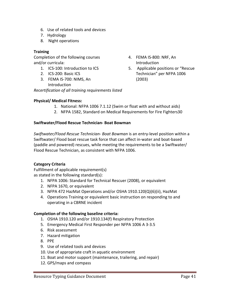- 6. Use of related tools and devices
- 7. Hydrology
- 8. Night operations

Completion of the following courses and/or curricula:

- 1. ICS‐100: Introduction to ICS
- 2. ICS‐200: Basic ICS
- 3. FEMA IS‐700: NIMS, An Introduction

*Recertification of all training requirements listed*

# **Physical/ Medical Fitness:**

- 1. National: NFPA 1006 7.1.12 (Swim or float with and without aids)
- 2. NFPA 1582, Standard on Medical Requirements for Fire Fighters30

# **Swiftwater/Flood Rescue Technician‐ Boat Bowman**

*Swiftwater/Flood Rescue Technician‐ Boat Bowman* is an entry‐level position within a Swiftwater/ Flood boat rescue task force that can affect in‐water and boat‐based (paddle and powered) rescues, while meeting the requirements to be a Swiftwater/ Flood Rescue Technician, as consistent with NFPA 1006.

# **Category Criteria**

Fulfillment of applicable requirement(s) as stated in the following standard(s):

- 1. NFPA 1006: Standard for Technical Rescuer (2008), or equivalent
- 2. NFPA 1670, or equivalent
- 3. NFPA 472 HazMat Operations and/or OSHA 1910.120(Q)(6)(ii), HazMat
- 4. Operations Training or equivalent basic instruction on responding to and operating in a CBRNE incident

- 1. OSHA 1910.120 and/or 1910.134(f) Respiratory Protection
- 5. Emergency Medical First Responder per NFPA 1006 A 3‐3.5
- 6. Risk assessment
- 7. Hazard mitigation
- 8. PPE
- 9. Use of related tools and devices
- 10. Use of appropriate craft in aquatic environment
- 11. Boat and motor support (maintenance, trailering, and repair)
- 12. GPS/maps and compass
- 4. FEMA IS‐800: NRF, An Introduction
- 5. Applicable positions or "Rescue Technician" per NFPA 1006 (2003)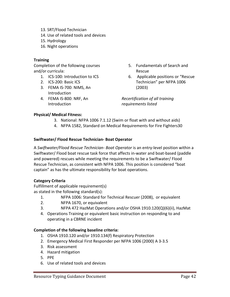- 13. SRT/Flood Technician
- 14. Use of related tools and devices
- 15. Hydrology
- 16. Night operations

Completion of the following courses and/or curricula:

- 1. ICS‐100: Introduction to ICS
- 2. ICS‐200: Basic ICS
- 3. FEMA IS‐700: NIMS, An Introduction
- 4. FEMA IS‐800: NRF, An **Introduction**
- 5. Fundamentals of Search and Rescue
- 6. Applicable positions or "Rescue Technician" per NFPA 1006 (2003)

*Recertification of all training requirements listed*

# **Physical/ Medical Fitness:**

- 3. National: NFPA 1006 7.1.12 (Swim or float with and without aids)
- 4. NFPA 1582, Standard on Medical Requirements for Fire Fighters30

# **Swiftwater/ Flood Rescue Technician‐ Boat Operator**

A *Swiftwater/Flood Rescue Technician‐ Boat Operator* is an entry‐level position within a Swiftwater/ Flood boat rescue task force that affects in‐water and boat‐based (paddle and powered) rescues while meeting the requirements to be a Swiftwater/ Flood Rescue Technician, as consistent with NFPA 1006. This position is considered "boat captain" as has the ultimate responsibility for boat operations.

# **Category Criteria**

Fulfillment of applicable requirement(s) as stated in the following standard(s):

- 1. NFPA 1006: Standard for Technical Rescuer (2008), or equivalent
- 2. NFPA 1670, or equivalent
- 3. NFPA 472 HazMat Operations and/or OSHA 1910.120(Q)(6)(ii), HazMat
- 4. Operations Training or equivalent basic instruction on responding to and operating in a CBRNE incident

- 1. OSHA 1910.120 and/or 1910.134(f) Respiratory Protection
- 2. Emergency Medical First Responder per NFPA 1006 (2000) A 3‐3.5
- 3. Risk assessment
- 4. Hazard mitigation
- 5. PPE
- 6. Use of related tools and devices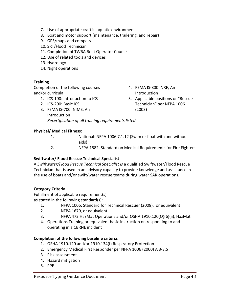- 7. Use of appropriate craft in aquatic environment
- 8. Boat and motor support (maintenance, trailering, and repair)
- 9. GPS/maps and compass
- 10. SRT/Flood Technician
- 11. Completion of TWRA Boat Operator Course
- 12. Use of related tools and devices
- 13. Hydrology
- 14. Night operations

Completion of the following courses and/or curricula:

- 1. ICS‐100: Introduction to ICS
- 2. ICS‐200: Basic ICS
- 3. FEMA IS‐700: NIMS, An Introduction *Recertification of all training requirements listed*

# **Physical/ Medical Fitness:**

- 1. National: NFPA 1006 7.1.12 (Swim or float with and without aids)
- 2. NFPA 1582, Standard on Medical Requirements for Fire Fighters

# **Swiftwater/ Flood Rescue Technical Specialist**

A *Swiftwater/Flood Rescue Technical Specialist is* a qualified Swiftwater/Flood Rescue Technician that is used in an advisory capacity to provide knowledge and assistance in the use of boats and/or swift/water rescue teams during water SAR operations.

# **Category Criteria**

Fulfillment of applicable requirement(s) as stated in the following standard(s):

- 1. NFPA 1006: Standard for Technical Rescuer (2008), or equivalent
- 2. NFPA 1670, or equivalent
- 3. NFPA 472 HazMat Operations and/or OSHA 1910.120(Q)(6)(ii), HazMat
- 4. Operations Training or equivalent basic instruction on responding to and operating in a CBRNE incident

- 1. OSHA 1910.120 and/or 1910.134(f) Respiratory Protection
- 2. Emergency Medical First Responder per NFPA 1006 (2000) A 3‐3.5
- 3. Risk assessment
- 4. Hazard mitigation
- 5. PPE
- 4. FEMA IS‐800: NRF, An Introduction
- 5. Applicable positions or "Rescue Technician" per NFPA 1006 (2003)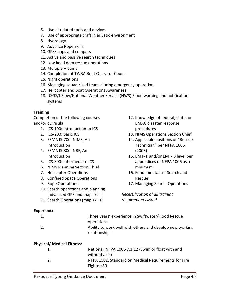- 6. Use of related tools and devices
- 7. Use of appropriate craft in aquatic environment
- 8. Hydrology
- 9. Advance Rope Skills
- 10. GPS/maps and compass
- 11. Active and passive search techniques
- 12. Low head dam rescue operations
- 13. Multiple Victims
- 14. Completion of TWRA Boat Operator Course
- 15. Night operations
- 16. Managing squad‐sized teams during emergency operations
- 17. Helicopter and Boat Operations Awareness
- 18. USGS/I‐Flow/National Weather Service (NWS) Flood warning and notification systems

Completion of the following courses and/or curricula:

- 1. ICS‐100: Introduction to ICS
- 2. ICS‐200: Basic ICS
- 3. FEMA IS‐700: NIMS, An Introduction
- 4. FEMA IS‐800: NRF, An Introduction
- 5. ICS‐300: Intermediate ICS
- 6. NIMS Planning Section Chief
- 7. Helicopter Operations
- 8. Confined Space Operations
- 9. Rope Operations
- 10. Search operations and planning (advanced GPS and map skills)
- 11. Search Operations (map skills)

# 12. Knowledge of federal, state, or EMAC disaster response procedures

- 13. NIMS Operations Section Chief
- 14. Applicable positions or "Rescue Technician" per NFPA 1006 (2003)
- 15. EMT‐ P and/or EMT‐ B level per appendices of NFPA 1006 as a minimum
- 16. Fundamentals of Search and Rescue
- 17. Managing Search Operations

*Recertification of all training requirements listed*

#### **Experience**

| 1.                                | Three years' experience in Swiftwater/Flood Rescue<br>operations.         |
|-----------------------------------|---------------------------------------------------------------------------|
| 2.                                | Ability to work well with others and develop new working<br>relationships |
| <b>Physical/ Medical Fitness:</b> |                                                                           |
| 1.                                | National: NFPA 1006 7.1.12 (Swim or float with and<br>without aids)       |
| 2.                                | NFPA 1582, Standard on Medical Requirements for Fire                      |

Fighters30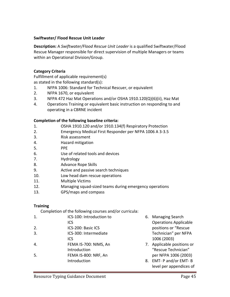# **Swiftwater/ Flood Rescue Unit Leader**

**Description:** A *Swiftwater/Flood Rescue Unit Leader* is a qualified Swiftwater/Flood Rescue Manager responsible for direct supervision of multiple Managers or teams within an Operational Division/Group.

#### **Category Criteria**

Fulfillment of applicable requirement(s) as stated in the following standard(s):

- 1. NFPA 1006: Standard for Technical Rescuer, or equivalent
- 2. NFPA 1670, or equivalent
- 3. NFPA 472 Haz Mat Operations and/or OSHA 1910.120(Q)(6)(ii), Haz Mat
- 4. Operations Training or equivalent basic instruction on responding to and operating in a CBRNE incident

#### **Completion of the following baseline criteria:**

- 1. OSHA 1910.120 and/or 1910.134(f) Respiratory Protection
- 2. Emergency Medical First Responder per NFPA 1006 A 3‐3.5
- 3. Risk assessment
- 4. Hazard mitigation
- 5. PPE
- 6. Use of related tools and devices
- 7. Hydrology
- 8. Advance Rope Skills
- 9. Active and passive search techniques
- 10. Low head dam rescue operations
- 11. Multiple Victims
- 12. Managing squad‐sized teams during emergency operations
- 13. GPS/maps and compass

#### **Training**

Completion of the following courses and/or curricula:

- 1. ICS‐100: Introduction to
- ICS
- 2. ICS‐200: Basic ICS
- 3. ICS‐300: Intermediate ICS
- 4. FEMA IS‐700: NIMS, An
- Introduction
- 5. FEMA IS‐800: NRF, An Introduction
- 6. Managing Search Operations Applicable positions or "Rescue Technician" per NFPA 1006 (2003)
- 7. Applicable positions or "Rescue Technician" per NFPA 1006 (2003)
- 8. EMT‐ P and/or EMT‐ B level per appendices of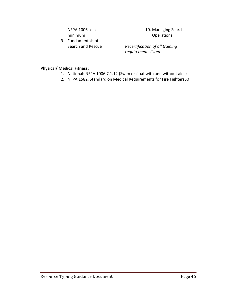NFPA 1006 as a minimum

9. Fundamentals of Search and Rescue 10. Managing Search **Operations** 

*Recertification of all training requirements listed*

#### **Physical/ Medical Fitness:**

- 1. National: NFPA 1006 7.1.12 (Swim or float with and without aids)
- 2. NFPA 1582, Standard on Medical Requirements for Fire Fighters30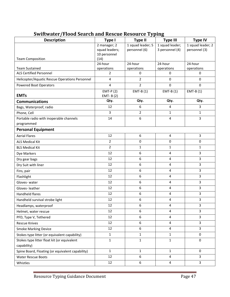| <b>Description</b>                               | <b>Type I</b>        | <b>Type II</b>    | <b>Type III</b>         | <b>Type IV</b>    |
|--------------------------------------------------|----------------------|-------------------|-------------------------|-------------------|
|                                                  | 2 manager; 2         | 1 squad leader; 5 | 1 squad leader;         | 1 squad leader; 2 |
|                                                  | squad leaders;       | personnel (6)     | 3 personnel (4)         | personnel (3)     |
| <b>Team Composition</b>                          | 10 personnel<br>(14) |                   |                         |                   |
|                                                  | 24-hour              | 24-hour           | 24-hour                 | 24-hour           |
| <b>Team Sustained</b>                            | operations           | operations        | operations              | operations        |
| <b>ALS Certified Personnel</b>                   | 2                    | 0                 | 0                       | 0                 |
| Helicopter/Aquatic Rescue Operations Personnel   | 4                    | $\overline{2}$    | $\mathbf 0$             | 0                 |
| <b>Powered Boat Operators</b>                    | $\overline{4}$       | $\overline{2}$    | $\pmb{0}$               | 0                 |
|                                                  | $EMT-P(2)$           | $EMT-B(1)$        | $EMT-B(1)$              | $EMT-B(1)$        |
| <b>EMTs</b>                                      | EMT- $B(2)$          |                   |                         |                   |
| <b>Communications</b>                            | Qty.                 | Qty.              | Qty.                    | Qty.              |
| Bags, Waterproof, radio                          | 12                   | 6                 | 4                       | 3                 |
| Phone, Cell                                      | $\overline{3}$       | $\overline{2}$    | $\mathbf{1}$            | $\mathbf 1$       |
| Portable radio with inoperable channels          | 14                   | 6                 | 4                       | 3                 |
| programmed                                       |                      |                   |                         |                   |
| <b>Personal Equipment</b>                        |                      |                   |                         |                   |
| <b>Aerial Flares</b>                             | 12                   | 6                 | $\overline{4}$          | 3                 |
| <b>ALS Medical Kit</b>                           | $\overline{2}$       | 0                 | $\mathbf 0$             | 0                 |
| <b>BLS Medical Kit</b>                           | $\overline{2}$       | 1                 | $\mathbf{1}$            | 1                 |
| Dye Markers                                      | 12                   | 6                 | 4                       | 3                 |
| Dry gear bags                                    | 12                   | 6                 | 4                       | 3                 |
| Dry Suit with liner                              | 12                   | 6                 | 4                       | 3                 |
| Fins, pair                                       | 12                   | 6                 | $\overline{\mathbf{4}}$ | 3                 |
| Flashlight                                       | 12                   | 6                 | 4                       | 3                 |
| Gloves-water                                     | 12                   | 6                 | 4                       | 3                 |
| Gloves-leather                                   | 12                   | 6                 | $\overline{\mathbf{4}}$ | 3                 |
| Handheld flares                                  | 12                   | 6                 | 4                       | 3                 |
| Handheld survival strobe light                   | 12                   | 6                 | 4                       | 3                 |
| Headlamps, waterproof                            | 12                   | 6                 | $\overline{\mathbf{4}}$ | 3                 |
| Helmet, water rescue                             | 12                   | 6                 | 4                       | 3                 |
| PFD, Type V, Tethered                            | 12                   | 6                 | 4                       | 3                 |
| <b>Rescue Knives</b>                             | 12                   | 6                 | 4                       | 3                 |
| <b>Smoke Marking Device</b>                      | 12                   | 6                 | 4                       | 3                 |
| Stokes type litter (or equivalent capability)    | $\mathbf{1}$         | 1                 | $\mathbf{1}$            | 0                 |
| Stokes type litter float kit (or equivalent      | $\mathbf{1}$         | $\mathbf{1}$      | $\mathbf 1$             | $\pmb{0}$         |
| capability)                                      |                      |                   |                         |                   |
| Spine Board, Floating (or equivalent capability) | $\mathbf{1}$         | $\mathbf{1}$      | $\mathbf{1}$            | 0                 |
| <b>Water Rescue Boots</b>                        | 12                   | 6                 | 4                       | 3                 |
| Whistles                                         | 12                   | $\boldsymbol{6}$  | $\overline{4}$          | 3                 |

# **Swiftwater/Flood Search and Rescue Resource Typing**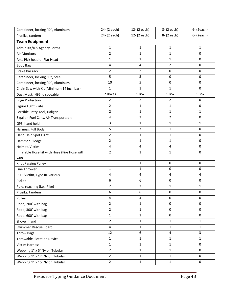| Carabineer, locking "D", Aluminum             | 24- (2 each)            | 12- (2 each)            | 8- (2 each)    | 6- (2each)              |
|-----------------------------------------------|-------------------------|-------------------------|----------------|-------------------------|
| Prusiks, tandem                               | 24- (2 each)            | 12- (2 each)            | 8- (2 each)    | 6- (2each)              |
| <b>Team Equipment</b>                         |                         |                         |                |                         |
| Admin Kit/ICS-Agency Forms                    | $\mathbf{1}$            | $\mathbf{1}$            | $\mathbf{1}$   | $\mathbf{1}$            |
| Air Monitors                                  | $\overline{2}$          | $\mathbf{1}$            | 1              | $\pmb{0}$               |
| Axe, Pick head or Flat Head                   | $\mathbf 1$             | $\mathbf{1}$            | $\mathbf 1$    | $\pmb{0}$               |
| <b>Body Bag</b>                               | 4                       | $\overline{\mathbf{4}}$ | 2              | 0                       |
| Brake bar rack                                | $\overline{2}$          | 2                       | $\mathbf 0$    | 0                       |
| Carabineer, locking "D", Steel                | 5                       | 5                       | 0              | 0                       |
| Carabineer, locking "D", Aluminum             | 10                      | 5                       | 0              | 0                       |
| Chain Saw with Kit (Minimum 14 inch bar)      | 1                       | 1                       | 1              | 0                       |
| Dust Mask, N95, disposable                    | 2 Boxes                 | 1 Box                   | 1 Box          | 1 Box                   |
| <b>Edge Protection</b>                        | $\overline{2}$          | $\overline{2}$          | 2              | $\pmb{0}$               |
| Figure Eight Plate                            | $\overline{2}$          | 1                       | 1              | 0                       |
| Forcible Entry Tool, Haligan                  | $\overline{2}$          | $\mathbf{1}$            | $\mathbf 1$    | $\mathbf{1}$            |
| 5 gallon Fuel Cans, Air Transportable         | $\overline{\mathbf{4}}$ | $\overline{2}$          | $\overline{2}$ | 0                       |
| GPS, hand held                                | 3                       | $\mathbf{1}$            | $\mathbf 1$    | 1                       |
| Harness, Full Body                            | 5                       | 3                       | 1              | $\pmb{0}$               |
| Hand Held Spot Light                          | $\mathbf 2$             | $\mathbf{1}$            | 1              | $\pmb{0}$               |
| Hammer, Sledge                                | $\overline{2}$          | $\mathbf{1}$            | $\mathbf{1}$   | 0                       |
| Helmet, Victim                                | 4                       | 4                       | 4              | 0                       |
| Inflatable Hose kit with Hose (Fire Hose with | $\overline{2}$          | $\mathbf{1}$            | $\mathbf 1$    | 0                       |
| caps)                                         |                         |                         |                |                         |
| Knot Passing Pulley                           | $\mathbf{1}$            | $\mathbf{1}$            | $\mathbf 0$    | 0                       |
| Line Thrower                                  | 1                       | 1                       | $\mathbf 0$    | 0                       |
| PFD, Victim, Type III, various                | $\overline{\mathbf{4}}$ | $\overline{\mathbf{4}}$ | 4              | $\overline{\mathbf{4}}$ |
| Picket                                        | 6                       | 6                       | $\pmb{0}$      | $\pmb{0}$               |
| Pole, reaching (i.e., Pike)                   | $\overline{2}$          | $\overline{2}$          | 1              | 1                       |
| Prusiks, tandem                               | 6                       | 6                       | $\pmb{0}$      | 0                       |
| Pulley                                        | 4                       | 4                       | 0              | $\pmb{0}$               |
| Rope, 200' with bag                           | $\overline{2}$          | $\mathbf{1}$            | $\mathbf 0$    | 0                       |
| Rope, 300' with bag                           | $\overline{2}$          | $\mathbf{1}$            | $\pmb{0}$      | $\pmb{0}$               |
| Rope, 600' with bag                           | $\mathbf{1}$            | $\mathbf{1}$            | $\mathbf 0$    | $\pmb{0}$               |
| Shovel, hand                                  | $\overline{2}$          | $\mathbf{1}$            | $\mathbf{1}$   | $\mathbf{1}$            |
| Swimmer Rescue Board                          | $\overline{4}$          | $\mathbf{1}$            | $\mathbf 1$    | $\mathbf{1}$            |
| <b>Throw Bags</b>                             | 12                      | 6                       | $\overline{4}$ | $\overline{3}$          |
| <b>Throwable Flotation Device</b>             | $\mathbf{1}$            | 1                       | $\mathbf{1}$   | $\mathbf{1}$            |
| <b>Victim Harness</b>                         | $\mathbf 1$             | $\mathbf{1}$            | $\mathbf 1$    | $\mathbf 0$             |
| Webbing 1" x 5' Nylon Tubular                 | $\overline{2}$          | $\mathbf{1}$            | $\mathbf{1}$   | $\pmb{0}$               |
| Webbing 1" x 12' Nylon Tubular                | $\overline{2}$          | $\mathbf{1}$            | $\mathbf{1}$   | $\mathbf 0$             |
| Webbing 1" x 15' Nylon Tubular                | $\overline{2}$          | $\mathbf 1$             | $\mathbf 1$    | $\mathbf 0$             |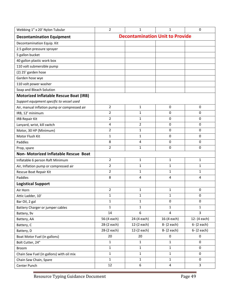| Webbing 1" x 20' Nylon Tubular                | $\overline{2}$                         | 1            | 1            | 0              |  |  |
|-----------------------------------------------|----------------------------------------|--------------|--------------|----------------|--|--|
| <b>Decontamination Equipment</b>              | <b>Decontamination Unit to Provide</b> |              |              |                |  |  |
| Decontamination Equip. Kit                    |                                        |              |              |                |  |  |
| 2.5 gallon pressure sprayer                   |                                        |              |              |                |  |  |
| 5 gallon bucket                               |                                        |              |              |                |  |  |
| 40 gallon plastic work box                    |                                        |              |              |                |  |  |
| 110 volt submersible pump                     |                                        |              |              |                |  |  |
| (2) 25' garden hose                           |                                        |              |              |                |  |  |
| Garden hose wye                               |                                        |              |              |                |  |  |
| 110 volt power washer                         |                                        |              |              |                |  |  |
| Soap and Bleach Solution                      |                                        |              |              |                |  |  |
| <b>Motorized Inflatable Rescue Boat (IRB)</b> |                                        |              |              |                |  |  |
| Support equipment specific to vessel used     |                                        |              |              |                |  |  |
| Air, manual inflation pump or compressed air  | $\overline{2}$                         | $\mathbf{1}$ | 0            | 0              |  |  |
| IRB, 12' minimum                              | $\overline{2}$                         | $\mathbf{1}$ | 0            | 0              |  |  |
| <b>IRB Repair Kit</b>                         | $\overline{2}$                         | 1            | $\Omega$     | 0              |  |  |
| Lanyard, wrist, kill switch                   | 4                                      | 2            | 0            | 0              |  |  |
| Motor, 30 HP (Minimum)                        | $\overline{2}$                         | 1            | 0            | 0              |  |  |
| Motor Flush Kit                               | 1                                      | 1            | 0            | $\mathbf 0$    |  |  |
| Paddles                                       | 8                                      | 4            | 0            | 0              |  |  |
| Prop, spare                                   | 2                                      | $\mathbf{1}$ | 0            | 0              |  |  |
| Non- Motorized Inflatable Rescue Boat         |                                        |              |              |                |  |  |
| Inflatable 6 person Raft Minimum              | $\overline{2}$                         | $\mathbf 1$  | 1            | 1              |  |  |
| Air, Inflation pump or compressed air         | $\overline{2}$                         | $\mathbf{1}$ | 1            | $\mathbf{1}$   |  |  |
| Rescue Boat Repair Kit                        | $\overline{2}$                         | $\mathbf{1}$ | 1            | 1              |  |  |
| Paddles                                       | 8                                      | 4            | 4            | 4              |  |  |
| <b>Logistical Support</b>                     |                                        |              |              |                |  |  |
| Air Horn                                      | $\overline{2}$                         | $\mathbf{1}$ | 1            | 0              |  |  |
| Attic Ladder, 10'                             | $\mathbf 1$                            | $\mathbf{1}$ | 1            | 0              |  |  |
| Bar Oil, 2 gal                                | $\mathbf{1}$                           | $\mathbf{1}$ | 0            | $\Omega$       |  |  |
| Battery Charger or jumper cables              | $\mathbf{1}$                           | $\mathbf{1}$ | 1            | $\mathbf{1}$   |  |  |
| Battery, 9v                                   | 14                                     | 6            | 4            | 3              |  |  |
| Battery, AA                                   | 56-(4 each)                            | 24-(4 each)  | 16-(4 each)  | 12- (4 each)   |  |  |
| Battery, C                                    | 28-(2 each)                            | 12-(2 each)  | 8- (2 each)  | $6 - (2 each)$ |  |  |
| Battery, D                                    | 28-(2 each)                            | 12-(2 each)  | 8- (2 each)  | $6 - (2 each)$ |  |  |
| Boat Motor Fuel (in gallons)                  | 20                                     | 20           | 0            | $\pmb{0}$      |  |  |
| Bolt Cutter, 24"                              | $\mathbf 1$                            | $\mathbf{1}$ | $\mathbf{1}$ | $\mathbf 0$    |  |  |
| <b>Broom</b>                                  | 1                                      | $\mathbf{1}$ | $\mathbf{1}$ | $\mathbf 0$    |  |  |
| Chain Saw Fuel (in gallons) with oil mix      | $\mathbf{1}$                           | $\mathbf{1}$ | $\mathbf{1}$ | 0              |  |  |
| Chain Saw Chain, Spare                        | $\mathbf{1}$                           | $\mathbf 1$  | $\mathbf 1$  | $\mathbf 0$    |  |  |
| Center Punch                                  | 12                                     | 6            | 4            | $\overline{3}$ |  |  |

Resource Typing Guidance Document Page 49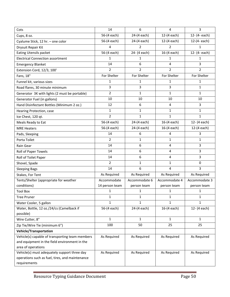| 56-(4 each)<br>24-(4 each)<br>12-(4 each)<br>12- (4- each)<br>Cups, 8 oz.<br>56-(4 each)<br>24-(4 each)<br>12-(4 each)<br>12-(4-each)<br>Cyalume Stick, 12 hr. - one color<br>2<br>Drysuit Repair Kit<br>4<br>2<br>1<br>56-(4 each)<br>24- (4 each)<br>16-(4 each)<br>12- (4- each)<br><b>Eating Utensils packet</b><br><b>Electrical Connection assortment</b><br>1<br>1<br>1<br>1<br>3<br>6<br>14<br>4<br><b>Emergency Blanket</b><br>$\overline{2}$<br>$\overline{2}$<br>$\overline{2}$<br>$\overline{2}$<br>Extension Cord, 12/3, 100'<br>For Shelter<br>For Shelter<br>For Shelter<br>For Shelter<br>Fans, 18" |
|---------------------------------------------------------------------------------------------------------------------------------------------------------------------------------------------------------------------------------------------------------------------------------------------------------------------------------------------------------------------------------------------------------------------------------------------------------------------------------------------------------------------------------------------------------------------------------------------------------------------|
|                                                                                                                                                                                                                                                                                                                                                                                                                                                                                                                                                                                                                     |
|                                                                                                                                                                                                                                                                                                                                                                                                                                                                                                                                                                                                                     |
|                                                                                                                                                                                                                                                                                                                                                                                                                                                                                                                                                                                                                     |
|                                                                                                                                                                                                                                                                                                                                                                                                                                                                                                                                                                                                                     |
|                                                                                                                                                                                                                                                                                                                                                                                                                                                                                                                                                                                                                     |
|                                                                                                                                                                                                                                                                                                                                                                                                                                                                                                                                                                                                                     |
|                                                                                                                                                                                                                                                                                                                                                                                                                                                                                                                                                                                                                     |
|                                                                                                                                                                                                                                                                                                                                                                                                                                                                                                                                                                                                                     |
| 1<br>$\mathbf{1}$<br>1<br>1<br>Funnel kit, various sizes                                                                                                                                                                                                                                                                                                                                                                                                                                                                                                                                                            |
| 3<br>3<br>3<br>$\mathbf{1}$<br>Road flares, 30 minute minimum                                                                                                                                                                                                                                                                                                                                                                                                                                                                                                                                                       |
| $\overline{2}$<br>$\mathbf{1}$<br>1<br>$\mathbf{1}$<br>Generator 3K with lights (2 must be portable)                                                                                                                                                                                                                                                                                                                                                                                                                                                                                                                |
| 10<br>10<br>10<br>10<br>Generator Fuel (in gallons)                                                                                                                                                                                                                                                                                                                                                                                                                                                                                                                                                                 |
| 3<br>12<br>6<br>4<br>Hand Disinfectant Bottles (Minimum 2 oz.)                                                                                                                                                                                                                                                                                                                                                                                                                                                                                                                                                      |
| $\mathbf{1}$<br>1<br>1<br>1<br>Hearing Protection, case                                                                                                                                                                                                                                                                                                                                                                                                                                                                                                                                                             |
| $\overline{2}$<br>$\mathbf{1}$<br>1<br>$\mathbf{1}$<br>Ice Chest, 120 qt.                                                                                                                                                                                                                                                                                                                                                                                                                                                                                                                                           |
| 56-(4 each)<br>24-(4 each)<br>16-(4 each)<br>12- (4 each)<br>Meals Ready to Eat                                                                                                                                                                                                                                                                                                                                                                                                                                                                                                                                     |
| 56-(4 each)<br>16-(4 each)<br>24-(4 each)<br>12-(4 each)<br><b>MRE Heaters</b>                                                                                                                                                                                                                                                                                                                                                                                                                                                                                                                                      |
| 3<br>6<br>14<br>4<br>Pads, Sleeping                                                                                                                                                                                                                                                                                                                                                                                                                                                                                                                                                                                 |
| $\overline{2}$<br>$\mathbf{1}$<br>$\mathbf{1}$<br>1<br>Porta Toilet                                                                                                                                                                                                                                                                                                                                                                                                                                                                                                                                                 |
| 14<br>4<br>3<br>6<br>Rain Gear                                                                                                                                                                                                                                                                                                                                                                                                                                                                                                                                                                                      |
| 3<br>6<br>14<br>4<br>Roll of Paper Towels                                                                                                                                                                                                                                                                                                                                                                                                                                                                                                                                                                           |
| 6<br>3<br>14<br>4<br>Roll of Toilet Paper                                                                                                                                                                                                                                                                                                                                                                                                                                                                                                                                                                           |
| 2<br>$\mathbf 0$<br>$\mathbf{1}$<br>1<br>Shovel, Spade                                                                                                                                                                                                                                                                                                                                                                                                                                                                                                                                                              |
| 3<br>14<br>6<br>4<br><b>Sleeping Bags</b>                                                                                                                                                                                                                                                                                                                                                                                                                                                                                                                                                                           |
| As Required<br>As Required<br>As Required<br>As Required<br>Stakes, For Tent                                                                                                                                                                                                                                                                                                                                                                                                                                                                                                                                        |
| Tents/Shelter (appropriate for weather<br>Accommodate<br>Accommodate 6<br>Accommodate 4<br>Accommodate 3                                                                                                                                                                                                                                                                                                                                                                                                                                                                                                            |
| conditions)<br>14 person team<br>person team<br>person team<br>person team                                                                                                                                                                                                                                                                                                                                                                                                                                                                                                                                          |
| 1<br>1<br><b>Tool Box</b><br>1<br>1                                                                                                                                                                                                                                                                                                                                                                                                                                                                                                                                                                                 |
| 1<br>$\mathbf{1}$<br>1<br>$\mathbf{1}$<br><b>Tree Pruner</b>                                                                                                                                                                                                                                                                                                                                                                                                                                                                                                                                                        |
| $\mathbf{1}$<br>$\mathbf{1}$<br>$\mathbf{1}$<br>Water Cooler, 5 gallon<br>1                                                                                                                                                                                                                                                                                                                                                                                                                                                                                                                                         |
| 56-(4 each)<br>Water, Bottle, 12 oz./24/cs (Camelback if<br>24-(4 each)<br>16-(4 each)<br>12- (4 each)                                                                                                                                                                                                                                                                                                                                                                                                                                                                                                              |
| possible)                                                                                                                                                                                                                                                                                                                                                                                                                                                                                                                                                                                                           |
| $\mathbf{1}$<br>Wire Cutter, 8"<br>$\mathbf{1}$<br>$\mathbf{1}$<br>$\mathbf{1}$                                                                                                                                                                                                                                                                                                                                                                                                                                                                                                                                     |
| 100<br>50<br>25<br>25<br>Zip Tie/Wire Tie (minimum 6")                                                                                                                                                                                                                                                                                                                                                                                                                                                                                                                                                              |
| <b>Vehicle/Transportation</b>                                                                                                                                                                                                                                                                                                                                                                                                                                                                                                                                                                                       |
| Vehicle(s) capable of transporting team members<br>As Required<br>As Required<br>As Required<br>As Required                                                                                                                                                                                                                                                                                                                                                                                                                                                                                                         |
| and equipment in the field environment in the<br>area of operations                                                                                                                                                                                                                                                                                                                                                                                                                                                                                                                                                 |
| Vehicle(s) must adequately support three day<br>As Required<br>As Required<br>As Required<br>As Required                                                                                                                                                                                                                                                                                                                                                                                                                                                                                                            |
| operations such as fuel, tires, and maintenance                                                                                                                                                                                                                                                                                                                                                                                                                                                                                                                                                                     |
| requirements                                                                                                                                                                                                                                                                                                                                                                                                                                                                                                                                                                                                        |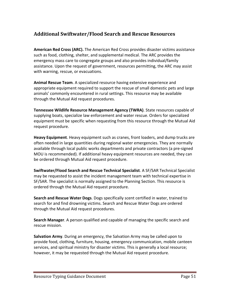# **Additional Swiftwater/Flood Search and Rescue Resources**

**American Red Cross (ARC).** The American Red Cross provides disaster victims assistance such as food, clothing, shelter, and supplemental medical. The ARC provides the emergency mass care to congregate groups and also provides individual/family assistance. Upon the request of government, resources permitting, the ARC may assist with warning, rescue, or evacuations.

**Animal Rescue Team**. A specialized resource having extensive experience and appropriate equipment required to support the rescue of small domestic pets and large animals' commonly encountered in rural settings. This resource may be available through the Mutual Aid request procedures.

**Tennessee Wildlife Resource Management Agency (TWRA)**. State resources capable of supplying boats, specialize law enforcement and water rescue. Orders for specialized equipment must be specific when requesting from this resource through the Mutual Aid request procedure.

**Heavy Equipment**. Heavy equipment such as cranes, front loaders, and dump trucks are often needed in large quantities during regional water emergencies. They are normally available through local public works departments and private contractors (a pre‐signed MOU is recommended). If additional heavy equipment resources are needed, they can be ordered through Mutual Aid request procedure.

**Swiftwater/Flood Search and Rescue Technical Specialist**. A SF/SAR Technical Specialist may be requested to assist the incident management team with technical expertise in SF/SAR. The specialist is normally assigned to the Planning Section. This resource is ordered through the Mutual Aid request procedure.

**Search and Rescue Water Dogs**. Dogs specifically scent certified in water, trained to search for and find drowning victims. Search and Rescue Water Dogs are ordered through the Mutual Aid request procedures.

**Search Manager**. A person qualified and capable of managing the specific search and rescue mission.

**Salvation Army**. During an emergency, the Salvation Army may be called upon to provide food, clothing, furniture, housing, emergency communication, mobile canteen services, and spiritual ministry for disaster victims. This is generally a local resource; however, it may be requested through the Mutual Aid request procedure.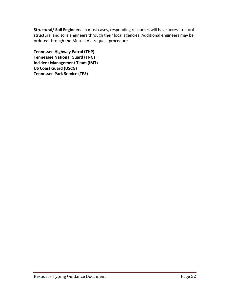**Structural/ Soil Engineers**. In most cases, responding resources will have access to local structural and soils engineers through their local agencies. Additional engineers may be ordered through the Mutual Aid request procedure.

**Tennessee Highway Patrol (THP) Tennessee National Guard (TNG) Incident Management Team (IMT) US Coast Guard (USCG) Tennessee Park Service (TPS)**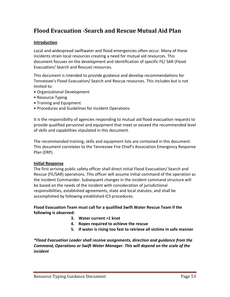# **Flood Evacuation ‐Search and Rescue Mutual Aid Plan**

# **Introduction**

Local and widespread swiftwater and flood emergencies often occur. Many of these incidents strain local resources creating a need for mutual aid resources. This document focuses on the development and identification of specific FE/ SAR (Flood Evacuation/ Search and Rescue) resources.

This document is intended to provide guidance and develop recommendations for Tennessee's Flood Evacuation/ Search and Rescue resources. This includes but is not limited to:

- Organizational Development
- Resource Typing
- Training and Equipment
- Procedures and Guidelines for Incident Operations

It is the responsibility of agencies responding to mutual aid flood evacuation requests to provide qualified personnel and equipment that meet or exceed the recommended level of skills and capabilities stipulated in this document.

The recommended training, skills and equipment lists are contained in this document. This document correlates to the Tennessee Fire Chief's Association Emergency Response Plan (ERP).

# **Initial Response**

The first arriving public safety officer shall direct initial Flood Evacuation/ Search and Rescue (FE/SAR) operations. This officer will assume initial command of the operation as the Incident Commander. Subsequent changes in the incident command structure will be based on the needs of the incident with consideration of jurisdictional responsibilities, established agreements, state and local statutes, and shall be accomplished by following established ICS procedures.

# **Flood Evacuation Team must call for a qualified Swift Water Rescue Team if the following is observed:**

- **3. Water current >1 knot**
- **4. Ropes required to achieve the rescue**
- **5. If water is rising too fast to retrieve all victims in safe manner**

*\*Flood Evacuation Leader shall receive assignments, direction and guidance from the Command, Operations or Swift Water Manager. This will depend on the scale of the incident*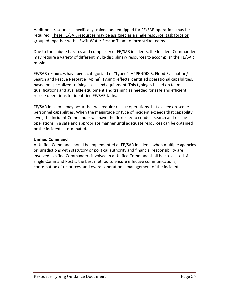Additional resources, specifically trained and equipped for FE/SAR operations may be required. These FE/SAR resources may be assigned as a single resource, task force or grouped together with a Swift Water Rescue Team to form strike teams.

Due to the unique hazards and complexity of FE/SAR incidents, the Incident Commander may require a variety of different multi‐disciplinary resources to accomplish the FE/SAR mission.

FE/SAR resources have been categorized or "typed" (APPENDIX B. Flood Evacuation/ Search and Rescue Resource Typing). Typing reflects identified operational capabilities, based on specialized training, skills and equipment. This typing is based on team qualifications and available equipment and training as needed for safe and efficient rescue operations for identified FE/SAR tasks.

FE/SAR incidents may occur that will require rescue operations that exceed on‐scene personnel capabilities. When the magnitude or type of incident exceeds that capability level, the Incident Commander will have the flexibility to conduct search and rescue operations in a safe and appropriate manner until adequate resources can be obtained or the incident is terminated.

# **Unified Command**

A Unified Command should be implemented at FE/SAR incidents when multiple agencies or jurisdictions with statutory or political authority and financial responsibility are involved. Unified Commanders involved in a Unified Command shall be co‐located. A single Command Post is the best method to ensure effective communications, coordination of resources, and overall operational management of the incident.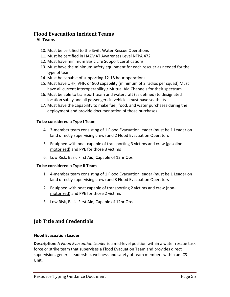# **Flood Evacuation Incident Teams All Teams**

- 10. Must be certified to the Swift Water Rescue Operations
- 11. Must be certified in HAZMAT Awareness Level NFPA 472
- 12. Must have minimum Basic Life Support certifications
- 13. Must have the minimum safety equipment for each rescuer as needed for the type of team
- 14. Must be capable of supporting 12‐18 hour operations
- 15. Must have UHF, VHF, or 800 capability (minimum of 2 radios per squad) Must have all current Interoperability / Mutual Aid Channels for their spectrum
- 16. Must be able to transport team and watercraft (as defined) to designated location safely and all passengers in vehicles must have seatbelts
- 17. Must have the capability to make fuel, food, and water purchases during the deployment and provide documentation of those purchases

# **To be considered a Type I Team**

- 4. 3-member team consisting of 1 Flood Evacuation leader (must be 1 Leader on land directly supervising crew) and 2 Flood Evacuation Operators
- 5. Equipped with boat capable of transporting 3 victims and crew (gasoline ‐ motorized) and PPE for those 3 victims
- 6. Low Risk, Basic First Aid, Capable of 12hr Ops

# **To be considered a Type II Team**

- 1. 4‐member team consisting of 1 Flood Evacuation leader (must be 1 Leader on land directly supervising crew) and 3 Flood Evacuation Operators
- 2. Equipped with boat capable of transporting 2 victims and crew (non‐ motorized) and PPE for those 2 victims
- 3. Low Risk, Basic First Aid, Capable of 12hr Ops

# **Job Title and Credentials**

# **Flood Evacuation Leader**

**Description:** A *Flood Evacuation Leader* is a mid‐level position within a water rescue task force or strike team that supervises a Flood Evacuation Team and provides direct supervision, general leadership, wellness and safety of team members within an ICS Unit.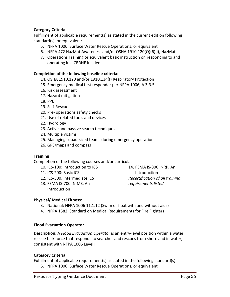# **Category Criteria**

Fulfillment of applicable requirement(s) as stated in the current edition following standard(s), or equivalent:

- 5. NFPA 1006: Surface Water Rescue Operations, or equivalent
- 6. NFPA 472 HazMat Awareness and/or OSHA 1910.120(Q)(6)(i), HazMat
- 7. Operations Training or equivalent basic instruction on responding to and operating in a CBRNE incident

#### **Completion of the following baseline criteria:**

- 14. OSHA 1910.120 and/or 1910.134(f) Respiratory Protection
- 15. Emergency medical first responder per NFPA 1006, A 3‐3.5
- 16. Risk assessment
- 17. Hazard mitigation
- 18. PPE
- 19. Self‐Rescue
- 20. Pre‐ operations safety checks
- 21. Use of related tools and devices
- 22. Hydrology
- 23. Active and passive search techniques
- 24. Multiple victims
- 25. Managing squad‐sized teams during emergency operations
- 26. GPS/maps and compass

#### **Training**

Completion of the following courses and/or curricula:

- 10. ICS‐100: Introduction to ICS
- 11. ICS‐200: Basic ICS
- 12. ICS‐300: Intermediate ICS
- 13. FEMA IS‐700: NIMS, An Introduction

14. FEMA IS‐800: NRP, An Introduction *Recertification of all training requirements listed*

#### **Physical/ Medical Fitness:**

- 3. National: NFPA 1006 11.1.12 (Swim or float with and without aids)
- 4. NFPA 1582, Standard on Medical Requirements for Fire Fighters

#### **Flood Evacuation Operator**

**Description:** A *Flood Evacuation Operator* is an entry‐level position within a water rescue task force that responds to searches and rescues from shore and in water, consistent with NFPA 1006 Level I.

#### **Category Criteria**

Fulfillment of applicable requirement(s) as stated in the following standard(s):

5. NFPA 1006: Surface Water Rescue Operations, or equivalent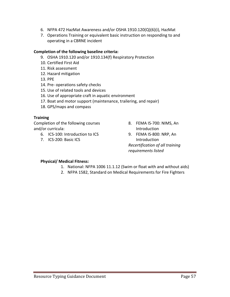- 6. NFPA 472 HazMat Awareness and/or OSHA 1910.120(Q)(6)(i), HazMat
- 7. Operations Training or equivalent basic instruction on responding to and operating in a CBRNE incident

# **Completion of the following baseline criteria:**

- 9. OSHA 1910.120 and/or 1910.134(f) Respiratory Protection
- 10. Certified First Aid
- 11. Risk assessment
- 12. Hazard mitigation
- 13. PPE
- 14. Pre‐ operations safety checks
- 15. Use of related tools and devices
- 16. Use of appropriate craft in aquatic environment
- 17. Boat and motor support (maintenance, trailering, and repair)
- 18. GPS/maps and compass

# **Training**

Completion of the following courses and/or curricula:

- 6. ICS‐100: Introduction to ICS
- 7. ICS‐200: Basic ICS
- 8. FEMA IS‐700: NIMS, An Introduction
- 9. FEMA IS‐800: NRP, An Introduction *Recertification of all training requirements listed*

# **Physical/ Medical Fitness:**

- 1. National: NFPA 1006 11.1.12 (Swim or float with and without aids)
- 2. NFPA 1582, Standard on Medical Requirements for Fire Fighters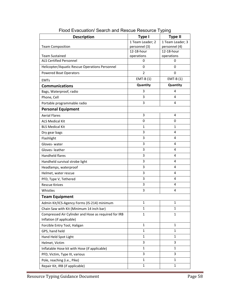| <b>Description</b>                                   | Type I                   | <b>Type II</b>           |
|------------------------------------------------------|--------------------------|--------------------------|
|                                                      | 1 Team Leader; 2         | 1 Team Leader; 3         |
| <b>Team Composition</b>                              | personnel (3)            | personnel (4)            |
| <b>Team Sustained</b>                                | 12-18-hour<br>operations | 12-18-hour<br>operations |
| <b>ALS Certified Personnel</b>                       | 0                        | 0                        |
| Helicopter/Aquatic Rescue Operations Personnel       | 0                        | 0                        |
| <b>Powered Boat Operators</b>                        | $\overline{2}$           | 0                        |
| <b>EMTs</b>                                          | $EMT-B(1)$               | $EMT-B(1)$               |
| <b>Communications</b>                                | Quantity                 | Quantity                 |
| Bags, Waterproof, radio                              | 3                        | 4                        |
| Phone, Cell                                          | 3                        | 4                        |
| Portable programmable radio                          | 3                        | 4                        |
| <b>Personal Equipment</b>                            |                          |                          |
| <b>Aerial Flares</b>                                 | 3                        | 4                        |
| <b>ALS Medical Kit</b>                               | $\mathbf 0$              | 0                        |
| <b>BLS Medical Kit</b>                               | 1                        | 1                        |
| Dry gear bags                                        | 3                        | 4                        |
| Flashlight                                           | 3                        | 4                        |
| Gloves-water                                         | 3                        | 4                        |
| Gloves-leather                                       | 3                        | 4                        |
| <b>Handheld flares</b>                               | 3                        | 4                        |
| Handheld survival strobe light                       | 3                        | 4                        |
| Headlamps, waterproof                                | 3                        | 4                        |
| Helmet, water rescue                                 | 3                        | 4                        |
| PFD, Type V, Tethered                                | 3                        | 4                        |
| <b>Rescue Knives</b>                                 | 3                        | 4                        |
| Whistles                                             | 3                        | 4                        |
| <b>Team Equipment</b>                                |                          |                          |
| Admin Kit/ICS-Agency Forms (IS-214) minimum          | 1                        | 1                        |
| Chain Saw with Kit (Minimum 14 inch bar)             | $\mathbf{1}$             | $\mathbf{1}$             |
| Compressed Air Cylinder and Hose as required for IRB | $\mathbf{1}$             | 1                        |
| Inflation (if applicable)                            |                          |                          |
| Forcible Entry Tool, Haligan                         | 1                        | 1                        |
| GPS, hand held                                       | 1                        | $\mathbf{1}$             |
| Hand Held Spot Light                                 | $\mathbf{1}$             | 1                        |
| Helmet, Victim                                       | 3                        | 3                        |
| Inflatable Hose kit with Hose (if applicable)        | $\mathbf{1}$             | 1                        |
| PFD, Victim, Type III, various                       | 3                        | 3                        |
| Pole, reaching (i.e., Pike)                          | $\mathbf{1}$             | 1                        |
| Repair Kit, IRB (if applicable)                      | $\mathbf{1}$             | 1                        |

Flood Evacuation/ Search and Rescue Resource Typing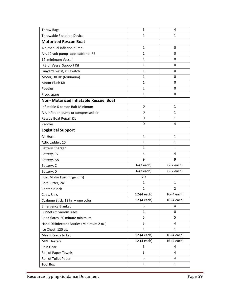| <b>Throw Bags</b>                            | 3            | 4            |
|----------------------------------------------|--------------|--------------|
| <b>Throwable Flotation Device</b>            | 1            | $\mathbf{1}$ |
| <b>Motorized Rescue Boat</b>                 |              |              |
| Air, manual inflation pump-                  | $\mathbf{1}$ | 0            |
| Air, 12 volt pump- applicable to IRB         | $\mathbf{1}$ | 0            |
| 12' minimum Vessel                           | $\mathbf{1}$ | $\mathbf 0$  |
| IRB or Vessel Support Kit                    | $\mathbf{1}$ | 0            |
| Lanyard, wrist, kill switch                  | $\mathbf{1}$ | 0            |
| Motor, 30 HP (Minimum)                       | $\mathbf{1}$ | $\mathbf 0$  |
| Motor Flush Kit                              | $\mathbf{1}$ | $\mathbf 0$  |
| Paddles                                      | 2            | 0            |
| Prop, spare                                  | $\mathbf{1}$ | $\mathbf 0$  |
| <b>Non- Motorized Inflatable Rescue Boat</b> |              |              |
| Inflatable 6 person Raft Minimum             | 0            | $\mathbf{1}$ |
| Air, Inflation pump or compressed air        | 0            | 1            |
| Rescue Boat Repair Kit                       | 0            | $\mathbf{1}$ |
| Paddles                                      | 0            | 4            |
| <b>Logistical Support</b>                    |              |              |
| Air Horn                                     | $\mathbf{1}$ | $\mathbf{1}$ |
| Attic Ladder, 10'                            | 1            | 1            |
| <b>Battery Charger</b>                       | $\mathbf{1}$ |              |
| Battery, 9v                                  | 4            | 4            |
| Battery, AA                                  | 9            | 9            |
| Battery, C                                   | $6-(2 each)$ | $6-(2 each)$ |
| Battery, D                                   | $6-(2 each)$ | $6-(2 each)$ |
| Boat Motor Fuel (in gallons)                 | 20           |              |
| Bolt Cutter, 24"                             | 1            | 1            |
| Center Punch                                 | 2            | 2            |
| Cups, 8 oz.                                  | 12-(4 each)  | 16-(4 each)  |
| Cyalume Stick, 12 hr. - one color            | 12-(4 each)  | 16-(4 each)  |
| <b>Emergency Blanket</b>                     | 3            | 4            |
| Funnel kit, various sizes                    | 1            | 0            |
| Road flares, 30 minute minimum               | 5            | 5            |
| Hand Disinfectant Bottles (Minimum 2 oz.)    | 3            | 4            |
| Ice Chest, 120 qt.                           | 1            | 1            |
| Meals Ready to Eat                           | 12-(4 each)  | 16-(4 each)  |
| <b>MRE Heaters</b>                           | 12-(4 each)  | 16-(4 each)  |
| Rain Gear                                    | 3            | 4            |
| Roll of Paper Towels                         | 3            | 4            |
| Roll of Toilet Paper                         | 3            | 4            |
| <b>Tool Box</b>                              | $\mathbf{1}$ | $\mathbf{1}$ |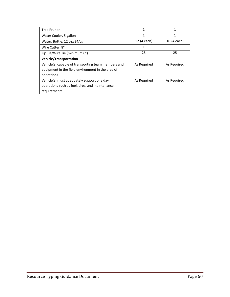| <b>Tree Pruner</b>                                  | 1           | 1             |
|-----------------------------------------------------|-------------|---------------|
| Water Cooler, 5 gallon                              | 1           |               |
| Water, Bottle, 12 oz./24/cs                         | 12-(4 each) | $16-(4 each)$ |
| Wire Cutter, 8"                                     | 1           |               |
| Zip Tie/Wire Tie (minimum 6")                       | 25          | 25            |
| <b>Vehicle/Transportation</b>                       |             |               |
| Vehicle(s) capable of transporting team members and | As Required | As Required   |
| equipment in the field environment in the area of   |             |               |
| operations                                          |             |               |
| Vehicle(s) must adequately support one day          | As Required | As Required   |
| operations such as fuel, tires, and maintenance     |             |               |
| requirements                                        |             |               |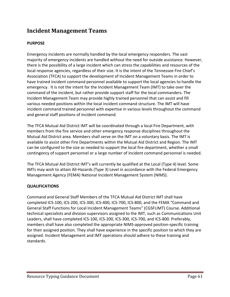# **Incident Management Teams**

# **PURPOSE**

Emergency incidents are normally handled by the local emergency responders. The vast majority of emergency incidents are handled without the need for outside assistance. However, there is the possibility of a large incident which can stress the capabilities and resources of the local response agencies, regardless of their size. It is the intent of the Tennessee Fire Chief's Association (TFCA) to support the development of Incident Management Teams in order to have trained incident command personnel available to support the local agencies to handle the emergency. It is not the intent for the Incident Management Team (IMT) to take over the command of the incident, but rather provide support staff for the local commanders. The Incident Management Team may provide highly trained personnel that can assist and fill various needed positions within the local incident command structure. The IMT will have incident command trained personnel with expertise in various levels throughout the command and general staff positions of incident command.

The TFCA Mutual Aid District IMT will be coordinated through a local Fire Department, with members from the fire service and other emergency response disciplines throughout the Mutual Aid District area. Members shall serve on the IMT on a voluntary basis. The IMT is available to assist other Fire Departments within the Mutual Aid District and Region. The IMT can be configured to the size as needed to support the local fire department, whether a small contingency of support personnel or a large number of incident command personnel is needed.

The TFCA Mutual Aid District IMT's will currently be qualified at the Local (Type 4) level. Some IMTs may wish to attain All‐Hazards (Type 3) Level in accordance with the Federal Emergency Management Agency (FEMA) National Incident Management System (NIMS).

# **QUALIFICATIONS**

Command and General Staff Members of the TFCA Mutual Aid District IMT shall have completed ICS‐100, ICS‐200, ICS‐300, ICS‐400, ICS‐700, ICS‐800, and the FEMA "Command and General Staff Functions for Local Incident Management Teams" (CGSFLIMT) Course. Additional technical specialists and division supervisors assigned to the IMT, such as Communications Unit Leaders, shall have completed ICS‐100, ICS‐200, ICS‐300, ICS‐700, and ICS‐800. Preferably, members shall have also completed the appropriate NIMS‐approved position‐specific training for their assigned position. They shall have experience in the specific position to which they are assigned. Incident Management and IMT operations should adhere to these training and standards.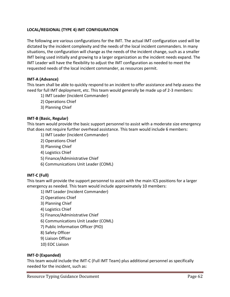# **LOCAL/REGIONAL (TYPE 4) IMT CONFIGURATION**

The following are various configurations for the IMT. The actual IMT configuration used will be dictated by the incident complexity and the needs of the local incident commanders. In many situations, the configuration will change as the needs of the incident change, such as a smaller IMT being used initially and growing to a larger organization as the incident needs expand. The IMT Leader will have the flexibility to adjust the IMT configuration as needed to meet the requested needs of the local incident commander, as resources permit.

# **IMT‐A (Advance)**

This team shall be able to quickly respond to an incident to offer assistance and help assess the need for full IMT deployment, etc. This team would generally be made up of 2‐3 members:

- 1) IMT Leader (Incident Commander)
- 2) Operations Chief
- 3) Planning Chief

#### **IMT‐B (Basic, Regular)**

This team would provide the basic support personnel to assist with a moderate size emergency that does not require further overhead assistance. This team would include 6 members:

- 1) IMT Leader (Incident Commander)
- 2) Operations Chief
- 3) Planning Chief
- 4) Logistics Chief
- 5) Finance/Administrative Chief
- 6) Communications Unit Leader (COML)

#### **IMT‐C (Full)**

This team will provide the support personnel to assist with the main ICS positions for a larger emergency as needed. This team would include approximately 10 members:

- 1) IMT Leader (Incident Commander)
- 2) Operations Chief
- 3) Planning Chief
- 4) Logistics Chief
- 5) Finance/Administrative Chief
- 6) Communications Unit Leader (COML)
- 7) Public Information Officer (PIO)
- 8) Safety Officer
- 9) Liaison Officer
- 10) EOC Liaison

# **IMT‐D (Expanded)**

This team would include the IMT‐C (Full IMT Team) plus additional personnel as specifically needed for the incident, such as: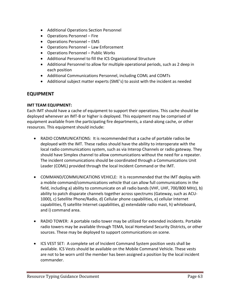- Additional Operations Section Personnel
- Operations Personnel Fire
- Operations Personnel EMS
- Operations Personnel Law Enforcement
- Operations Personnel Public Works
- Additional Personnel to fill the ICS Organizational Structure
- Additional Personnel to allow for multiple operational periods, such as 2 deep in each position
- Additional Communications Personnel, including COML and COMTs
- Additional subject matter experts (SME's) to assist with the incident as needed

# **EQUIPMENT**

#### **IMT TEAM EQUIPMENT:**

Each IMT should have a cache of equipment to support their operations. This cache should be deployed whenever an IMT‐B or higher is deployed. This equipment may be comprised of equipment available from the participating fire departments, a stand‐along cache, or other resources. This equipment should include:

- RADIO COMMUNICATIONS: It is recommended that a cache of portable radios be deployed with the IMT. These radios should have the ability to interoperate with the local radio communications system, such as via Interop Channels or radio gateway. They should have Simplex channel to allow communications without the need for a repeater. The incident communications should be coordinated through a Communications Unit Leader (COML) provided through the local Incident Command or the IMT.
- COMMAND/COMMUNICATIONS VEHICLE: It is recommended that the IMT deploy with a mobile command/communications vehicle that can allow full communications in the field, including a) ability to communicate on all radio bands (VHF, UHF, 700/800 MHz), b) ability to patch disparate channels together across spectrums (Gateway, such as ACU‐ 1000), c) Satellite Phone/Radio, d) Cellular phone capabilities, e) cellular Internet capabilities, f) satellite Internet capabilities, g) extendable radio mast, h) whiteboard, and i) command area.
- RADIO TOWER: A portable radio tower may be utilized for extended incidents. Portable radio towers may be available through TEMA, local Homeland Security Districts, or other sources. These may be deployed to support communications on scene.
- ICS VEST SET: A complete set of Incident Command System position vests shall be available. ICS Vests should be available on the Mobile Command Vehicle. These vests are not to be worn until the member has been assigned a position by the local incident commander.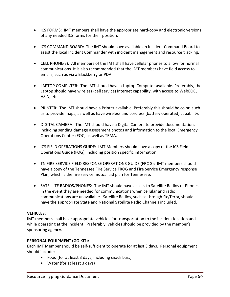- ICS FORMS: IMT members shall have the appropriate hard-copy and electronic versions of any needed ICS forms for their position.
- ICS COMMAND BOARD: The IMT should have available an Incident Command Board to assist the local Incident Commander with incident management and resource tracking.
- CELL PHONE(S): All members of the IMT shall have cellular phones to allow for normal communications. It is also recommended that the IMT members have field access to emails, such as via a Blackberry or PDA.
- LAPTOP COMPUTER: The IMT should have a Laptop Computer available. Preferably, the Laptop should have wireless (cell service) Internet capability, with access to WebEOC, HSIN, etc.
- PRINTER: The IMT should have a Printer available. Preferably this should be color, such as to provide maps, as well as have wireless and cordless (battery operated) capability.
- DIGITAL CAMERA: The IMT should have a Digital Camera to provide documentation, including sending damage assessment photos and information to the local Emergency Operations Center (EOC) as well as TEMA.
- ICS FIELD OPERATIONS GUIDE: IMT Members should have a copy of the ICS Field Operations Guide (FOG), including position specific information.
- TN FIRE SERVICE FIELD RESPONSE OPERATIONS GUIDE (FROG): IMT members should have a copy of the Tennessee Fire Service FROG and Fire Service Emergency response Plan, which is the fire service mutual aid plan for Tennessee.
- SATELLITE RADIOS/PHONES: The IMT should have access to Satellite Radios or Phones in the event they are needed for communications when cellular and radio communications are unavailable. Satellite Radios, such as through SkyTerra, should have the appropriate State and National Satellite Radio Channels included.

# **VEHICLES:**

IMT members shall have appropriate vehicles for transportation to the incident location and while operating at the incident. Preferably, vehicles should be provided by the member's sponsoring agency.

# **PERSONAL EQUIPMENT (GO KIT):**

Each IMT Member should be self‐sufficient to operate for at last 3 days. Personal equipment should include:

- Food (for at least 3 days, including snack bars)
- Water (for at least 3 days)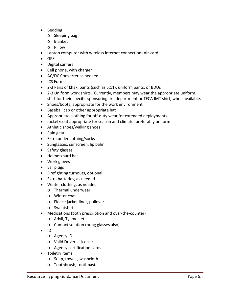- Bedding
	- o Sleeping bag
	- o Blanket
	- o Pillow
- Laptop computer with wireless internet connection (Air‐card)
- GPS
- Digital camera
- Cell phone, with charger
- AC/DC Converter as needed
- ICS Forms
- 2‐3 Pairs of khaki pants (such as 5.11), uniform pants, or BDUs
- 2-3 Uniform work shirts. Currently, members may wear the appropriate uniform shirt for their specific sponsoring fire department or TFCA IMT shirt, when available.
- Shoes/boots, appropriate for the work environment
- Baseball cap or other appropriate hat
- Appropriate clothing for off-duty wear for extended deployments
- Jacket/coat appropriate for season and climate, preferably uniform
- Athletic shoes/walking shoes
- Rain gear
- Extra underclothing/socks
- Sunglasses, sunscreen, lip balm
- Safety glasses
- Helmet/hard hat
- Work gloves
- Ear plugs
- Firefighting turnouts, optional
- Extra batteries, as needed
- Winter clothing, as needed
	- o Thermal underwear
	- o Winter coat
	- o Fleece jacket liner, pullover
	- o Sweatshirt
- Medications (both prescription and over-the-counter)
	- o Advil, Tylenol, etc.
	- o Contact solution (bring glasses also)
- $\bullet$  ID
	- o Agency ID
	- o Valid Driver's License
	- o Agency certification cards
- **•** Toiletry items
	- o Soap, towels, washcloth
	- o Toothbrush, toothpaste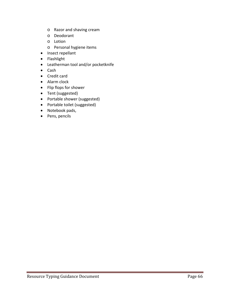- o Razor and shaving cream
- o Deodorant
- o Lotion
- o Personal hygiene items
- Insect repellant
- Flashlight
- Leatherman tool and/or pocketknife
- Cash
- Credit card
- Alarm clock
- Flip flops for shower
- Tent (suggested)
- Portable shower (suggested)
- Portable toilet (suggested)
- Notebook pads,
- Pens, pencils